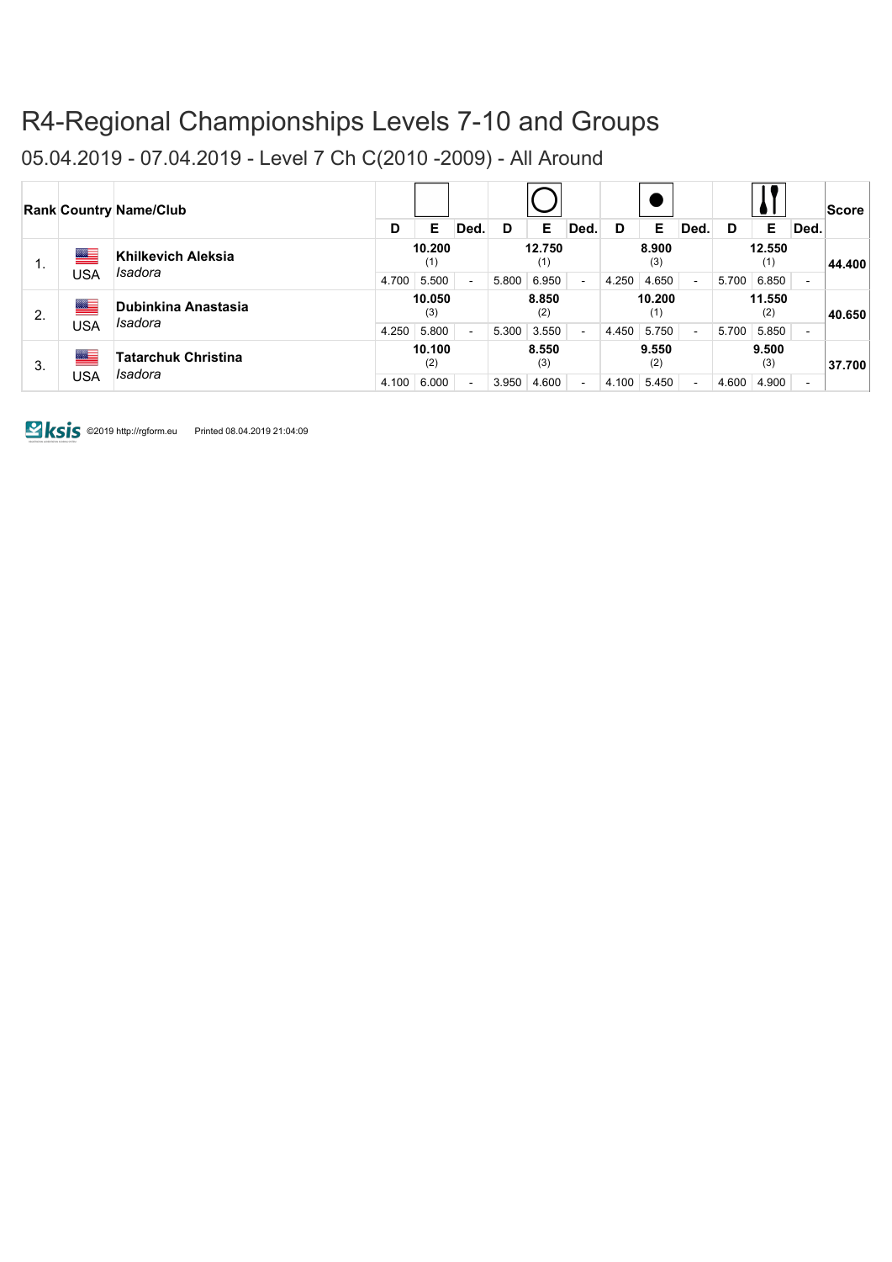05.04.2019 - 07.04.2019 - Level 7 Ch C(2010 -2009) - All Around

|    |     | <b>Rank Country Name/Club</b>         |       |               |      |       |               |      |       |               |                |       |               |                          | <b>Score</b> |
|----|-----|---------------------------------------|-------|---------------|------|-------|---------------|------|-------|---------------|----------------|-------|---------------|--------------------------|--------------|
|    |     |                                       | D     | Е             | Ded. | D     | E             | Ded. | D     | Е             | Ded.           | D     | Е             | Ded.                     |              |
| Ι. | ≝   | Khilkevich Aleksia<br>Isadora         |       | 10.200<br>(1) |      |       | 12.750<br>(1) |      |       | 8.900<br>(3)  |                |       | 12.550<br>(1) |                          | 44.400       |
|    | USA |                                       | 4.700 | 5.500         |      | 5.800 | 6.950         |      | 4.250 | 4.650         | $\overline{a}$ | 5.700 | 6.850         | $\sim$                   |              |
| 2. | ≝   | Dubinkina Anastasia                   |       | 10.050<br>(3) |      |       | 8.850<br>(2)  |      |       | 10.200<br>(1) |                |       | 11.550<br>(2) |                          | 40.650       |
|    | USA | Isadora                               | 4.250 | 5.800         |      | 5.300 | 3.550         |      | 4.450 | 5.750         | $\sim$         | 5.700 | 5.850         | $\overline{\phantom{a}}$ |              |
| 3. | ▆▆  | <b>Tatarchuk Christina</b><br>Isadora |       | 10.100<br>(2) |      |       | 8.550<br>(3)  |      |       | 9.550<br>(2)  |                |       | 9.500<br>(3)  |                          | 37.700       |
|    | USA |                                       | 4.100 | 6.000         |      | 3.950 | 4.600         |      | 4.100 | 5.450         | $\sim$         | 4.600 | 4.900         | ٠                        |              |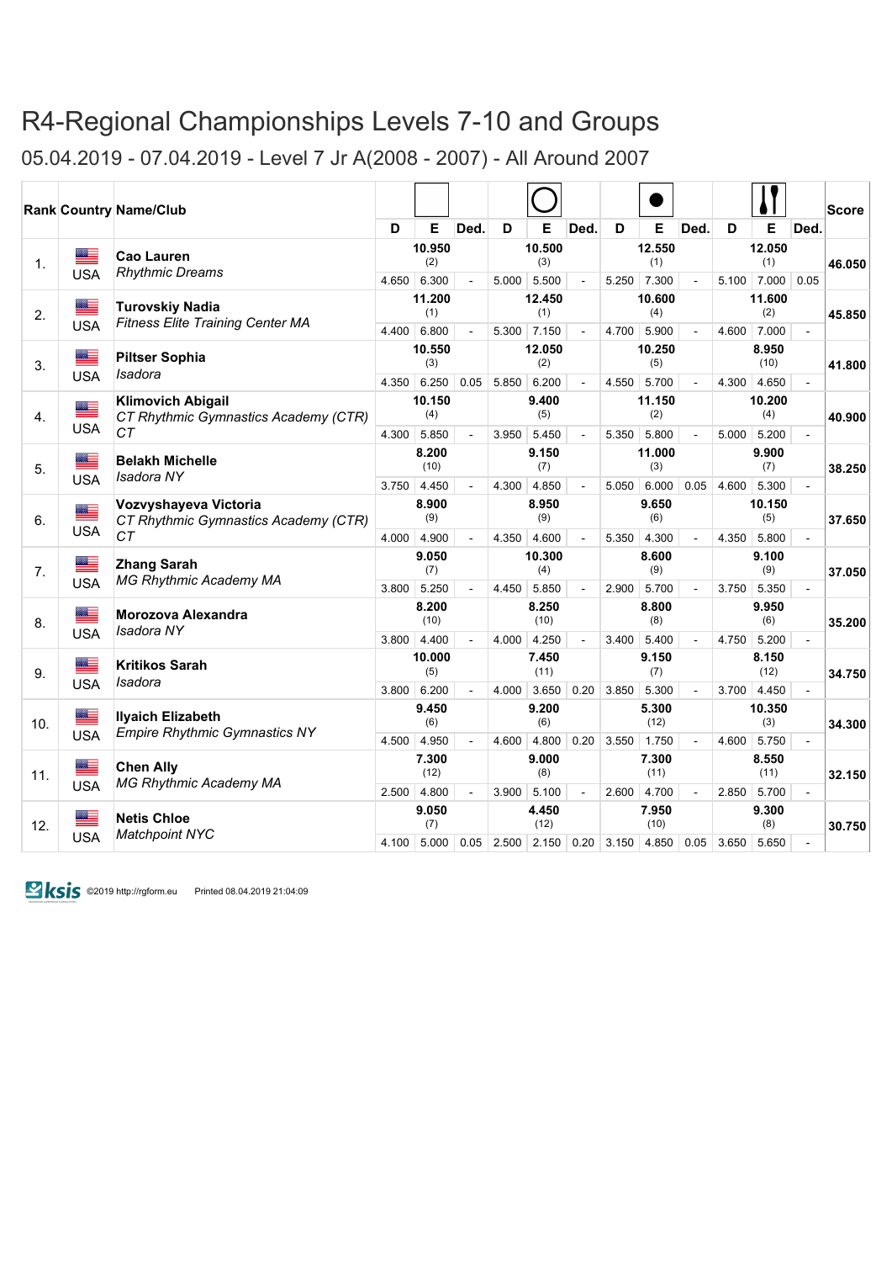05.04.2019 - 07.04.2019 - Level 7 Jr A(2008 - 2007) - All Around 2007

|     |                  | <b>Rank Country Name/Club</b>                                    | D     | E                      | Ded.           | D     | Е                      | <b>Ded</b>     | D     | Е                      | Ded.           | D     | E                      | Ded.         | Score  |
|-----|------------------|------------------------------------------------------------------|-------|------------------------|----------------|-------|------------------------|----------------|-------|------------------------|----------------|-------|------------------------|--------------|--------|
| 1.  | ▆▆<br><b>USA</b> | <b>Cao Lauren</b><br><b>Rhythmic Dreams</b>                      |       | 10.950<br>(2)          |                |       | 10.500<br>(3)          |                |       | 12.550<br>(1)          |                |       | 12.050<br>(1)          |              | 46.050 |
|     | ▓≡               | <b>Turovskiy Nadia</b>                                           | 4.650 | 6.300<br>11.200        |                | 5.000 | 5.500<br>12.450        |                | 5.250 | 7.300<br>10.600        |                | 5.100 | 7.000<br>11.600        | 0.05         |        |
| 2.  | <b>USA</b>       | <b>Fitness Elite Training Center MA</b>                          | 4.400 | (1)<br>6.800           | $\blacksquare$ | 5.300 | (1)<br>7.150           | $\overline{a}$ | 4.700 | (4)<br>5.900           | $\overline{a}$ | 4.600 | (2)<br>7.000           | $\omega$     | 45.850 |
| 3.  | Œ<br><b>USA</b>  | <b>Piltser Sophia</b><br><b>Isadora</b>                          |       | 10.550<br>(3)          |                |       | 12.050<br>(2)          |                |       | 10.250<br>(5)          |                |       | 8.950<br>(10)          |              | 41.800 |
|     |                  | <b>Klimovich Abigail</b>                                         | 4.350 | 6.250<br>10.150        | 0.05           | 5.850 | 6.200<br>9.400         | $\overline{a}$ | 4.550 | 5.700<br>11.150        | L.             | 4.300 | 4.650<br>10.200        | $\mathbf{r}$ |        |
| 4.  | ██<br><b>USA</b> | CT Rhythmic Gymnastics Academy (CTR)<br><b>CT</b>                | 4.300 | (4)<br>5.850           | $\blacksquare$ | 3.950 | (5)<br>5.450           |                | 5.350 | (2)<br>5.800           | L.             | 5.000 | (4)<br>5.200           | $\mathbf{r}$ | 40.900 |
| 5.  | ▆▆               | <b>Belakh Michelle</b>                                           |       | 8.200<br>(10)          |                |       | 9.150<br>(7)           |                |       | 11.000<br>(3)          |                |       | 9.900<br>(7)           |              | 38.250 |
|     | <b>USA</b>       | Isadora NY                                                       | 3.750 | 4.450<br>8.900         | $\omega$       | 4.300 | 4.850<br>8.950         | $\overline{a}$ | 5.050 | 6.000<br>9.650         | 0.05           | 4.600 | 5.300<br>10.150        |              |        |
| 6.  | ▀<br><b>USA</b>  | Vozvyshayeva Victoria<br>CT Rhythmic Gymnastics Academy (CTR)    |       | (9)                    |                |       | (9)                    |                |       | (6)                    |                |       | (5)                    |              | 37.650 |
|     |                  | СT                                                               | 4.000 | 4.900<br>9.050         |                | 4.350 | 4.600<br>10.300        |                | 5.350 | 4.300<br>8.600         | ÷,             | 4.350 | 5.800<br>9.100         |              |        |
| 7.  | ≝<br><b>USA</b>  | <b>Zhang Sarah</b><br><b>MG Rhythmic Academy MA</b>              |       | (7)                    |                |       | (4)                    |                |       | (9)                    |                |       | (9)                    |              | 37.050 |
| 8.  | ▀                | Morozova Alexandra                                               | 3.800 | 5.250<br>8.200<br>(10) |                | 4.450 | 5.850<br>8.250<br>(10) |                | 2.900 | 5.700<br>8.800<br>(8)  | ÷,             | 3.750 | 5.350<br>9.950<br>(6)  | $\sim$       | 35.200 |
|     | <b>USA</b>       | Isadora NY                                                       | 3.800 | 4.400                  | $\sim$         | 4.000 | 4.250                  | $\sim$         | 3.400 | 5.400                  | L.             | 4.750 | 5.200                  | $\omega$     |        |
| 9.  | ≝                | <b>Kritikos Sarah</b><br>Isadora                                 |       | 10.000<br>(5)          |                |       | 7.450<br>(11)          |                |       | 9.150<br>(7)           |                |       | 8.150<br>(12)          |              | 34.750 |
|     | <b>USA</b>       |                                                                  | 3.800 | 6.200                  |                | 4.000 | 3.650                  | 0.20           | 3.850 | 5.300                  | $\overline{a}$ | 3.700 | 4.450                  |              |        |
| 10. | ▩∃<br><b>USA</b> | <b>Ilyaich Elizabeth</b><br><b>Empire Rhythmic Gymnastics NY</b> |       | 9.450<br>(6)           |                |       | 9.200<br>(6)           |                |       | 5.300<br>(12)          |                |       | 10.350<br>(3)          |              | 34.300 |
| 11. | ▆▆               | <b>Chen Ally</b>                                                 | 4.500 | 4.950<br>7.300<br>(12) | $\overline{a}$ | 4.600 | 4.800<br>9.000<br>(8)  | 0.20           | 3.550 | 1.750<br>7.300<br>(11) | ÷.             | 4.600 | 5.750<br>8.550<br>(11) | $\mathbf{r}$ | 32.150 |
|     | <b>USA</b>       | MG Rhythmic Academy MA                                           | 2.500 | 4.800                  | $\omega$       | 3.900 | 5.100                  | $\sim$         | 2.600 | 4.700                  | $\sim$         | 2.850 | 5.700                  | $\sim$       |        |
| 12. | ▆▆<br><b>USA</b> | <b>Netis Chloe</b><br><b>Matchpoint NYC</b>                      |       | 9.050<br>(7)           |                |       | 4.450<br>(12)          |                |       | 7.950<br>(10)          |                |       | 9.300<br>(8)           |              | 30.750 |
|     |                  |                                                                  | 4.100 | 5.000                  | 0.05           | 2.500 | 2.150                  | 0.20           | 3.150 | 4.850                  | 0.05           | 3.650 | 5.650                  | $\mathbf{r}$ |        |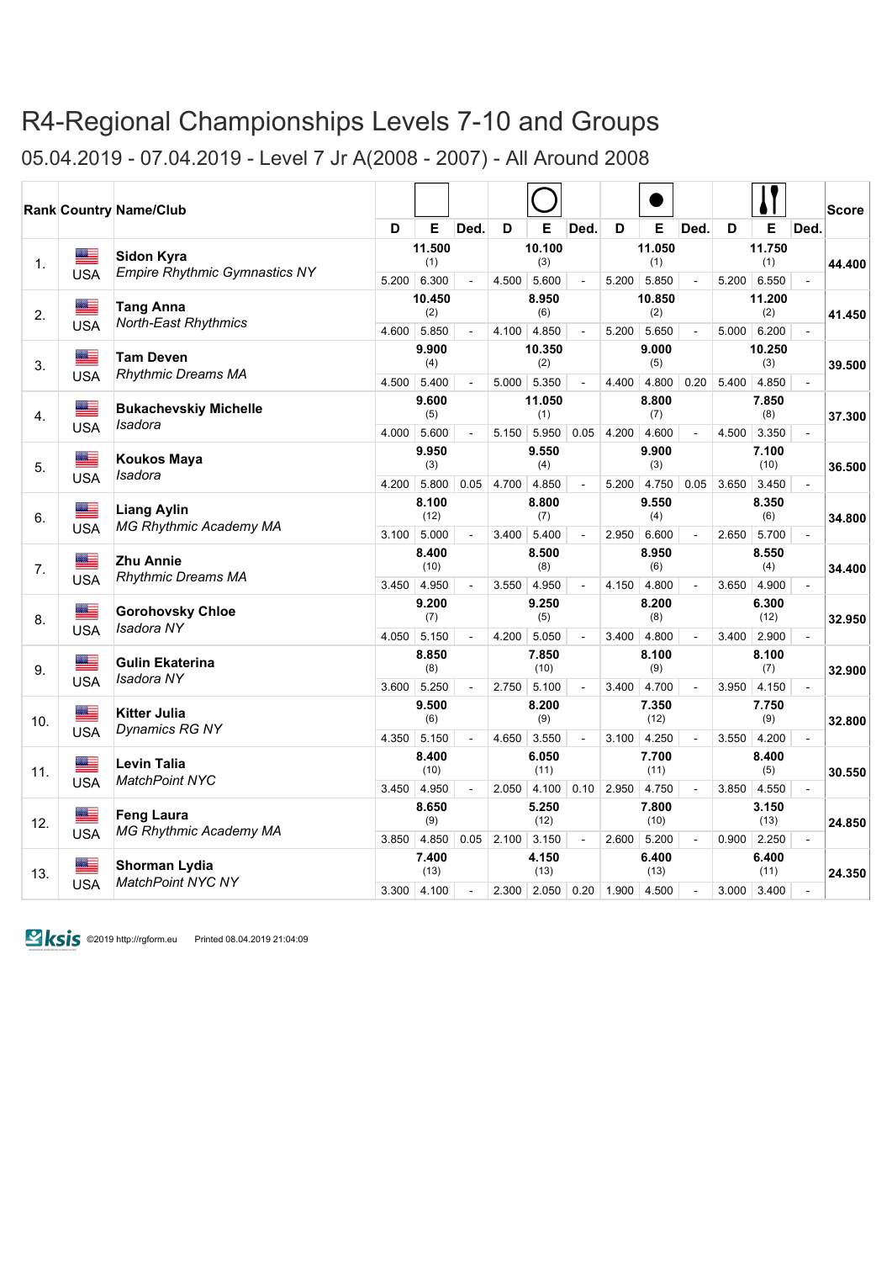05.04.2019 - 07.04.2019 - Level 7 Jr A(2008 - 2007) - All Around 2008

|     |                              | <b>Rank Country Name/Club</b>                       | D     | E               | Ded.           | D     | E              | Ded.                     | D     | Е               | Ded.           | D     | E               | Ded.                     | <b>Score</b> |
|-----|------------------------------|-----------------------------------------------------|-------|-----------------|----------------|-------|----------------|--------------------------|-------|-----------------|----------------|-------|-----------------|--------------------------|--------------|
| 1.  | ≝<br><b>USA</b>              | Sidon Kyra<br><b>Empire Rhythmic Gymnastics NY</b>  |       | 11.500<br>(1)   |                |       | 10.100<br>(3)  |                          |       | 11.050<br>(1)   |                |       | 11.750<br>(1)   |                          | 44.400       |
|     | ▓≡                           | <b>Tang Anna</b>                                    | 5.200 | 6.300<br>10.450 | $\sim$         | 4.500 | 5.600<br>8.950 | $\overline{\phantom{a}}$ | 5.200 | 5.850<br>10.850 | L.             | 5.200 | 6.550<br>11.200 | L.                       |              |
| 2.  | <b>USA</b>                   | North-East Rhythmics                                | 4.600 | (2)<br>5.850    | $\blacksquare$ | 4.100 | (6)<br>4.850   | $\sim$                   | 5.200 | (2)<br>5.650    | $\Box$         | 5.000 | (2)<br>6.200    | $\sim$                   | 41.450       |
| 3.  | ▀                            | <b>Tam Deven</b><br>Rhythmic Dreams MA              |       | 9.900<br>(4)    |                |       | 10.350<br>(2)  |                          |       | 9.000<br>(5)    |                |       | 10.250<br>(3)   |                          | 39.500       |
|     | <b>USA</b>                   |                                                     | 4.500 | 5.400           | $\sim$         | 5.000 | 5.350          | L.                       | 4.400 | 4.800           | 0.20           | 5.400 | 4.850           |                          |              |
| 4.  | <b>Bernard</b>               | <b>Bukachevskiy Michelle</b><br><b>Isadora</b>      |       | 9.600<br>(5)    |                |       | 11.050<br>(1)  |                          |       | 8.800<br>(7)    |                |       | 7.850<br>(8)    |                          | 37.300       |
|     | <b>USA</b>                   |                                                     | 4.000 | 5.600           |                | 5.150 | 5.950          | 0.05                     | 4.200 | 4.600           |                | 4.500 | 3.350           | $\blacksquare$           |              |
| 5.  | ▆▆<br><b>USA</b>             | Koukos Maya<br>Isadora                              |       | 9.950<br>(3)    |                |       | 9.550<br>(4)   |                          |       | 9.900<br>(3)    |                |       | 7.100<br>(10)   |                          | 36.500       |
|     |                              |                                                     | 4.200 | 5.800           | 0.05           | 4.700 | 4.850          | $\overline{\phantom{a}}$ | 5.200 | 4.750           | 0.05           | 3.650 | 3.450           |                          |              |
| 6.  | ≝                            | <b>Liang Aylin</b><br><b>MG Rhythmic Academy MA</b> |       | 8.100<br>(12)   |                |       | 8.800<br>(7)   |                          |       | 9.550<br>(4)    |                |       | 8.350<br>(6)    |                          | 34.800       |
|     | <b>USA</b>                   |                                                     | 3.100 | 5.000           | $\sim$         | 3.400 | 5.400          | $\sim$                   | 2.950 | 6.600           | $\sim$         | 2.650 | 5.700           | $\sim$                   |              |
| 7.  | ▩∃<br><b>USA</b>             | <b>Zhu Annie</b><br>Rhythmic Dreams MA              |       | 8.400<br>(10)   |                |       | 8.500<br>(8)   |                          |       | 8.950<br>(6)    |                |       | 8.550<br>(4)    |                          | 34.400       |
|     |                              |                                                     | 3.450 | 4.950           | $\mathbf{r}$   | 3.550 | 4.950          | $\sim$                   | 4.150 | 4.800           | L.             | 3.650 | 4.900           | $\mathbf{r}$             |              |
| 8.  | ▆▆<br><b>USA</b>             | <b>Gorohovsky Chloe</b><br>Isadora NY               |       | 9.200<br>(7)    |                |       | 9.250<br>(5)   |                          |       | 8.200<br>(8)    |                |       | 6.300<br>(12)   |                          | 32.950       |
|     |                              |                                                     | 4.050 | 5.150           |                | 4.200 | 5.050          | $\overline{a}$           | 3.400 | 4.800           | $\overline{a}$ | 3.400 | 2.900           |                          |              |
| 9.  | █▁                           | <b>Gulin Ekaterina</b><br>Isadora NY                |       | 8.850<br>(8)    |                |       | 7.850<br>(10)  |                          |       | 8.100<br>(9)    |                |       | 8.100<br>(7)    |                          | 32.900       |
|     | <b>USA</b>                   |                                                     |       | $3.600$ 5.250   | $\sim$         | 2.750 | 5.100          | $\sim$                   | 3.400 | 4.700           | $\sim$         | 3.950 | 4.150           | $\overline{a}$           |              |
| 10. | <u>a </u>                    | Kitter Julia<br><b>Dynamics RG NY</b>               |       | 9.500<br>(6)    |                |       | 8.200<br>(9)   |                          |       | 7.350<br>(12)   |                |       | 7.750<br>(9)    |                          | 32.800       |
|     | <b>USA</b>                   |                                                     | 4.350 | 5.150           |                | 4.650 | 3.550          | $\sim$                   | 3.100 | 4.250           |                | 3.550 | 4.200           |                          |              |
| 11. | <b>Bernard</b><br><b>USA</b> | <b>Levin Talia</b><br><b>MatchPoint NYC</b>         |       | 8.400<br>(10)   |                |       | 6.050<br>(11)  |                          |       | 7.700<br>(11)   |                |       | 8.400<br>(5)    |                          | 30.550       |
|     |                              |                                                     | 3.450 | 4.950           | $\omega$       | 2.050 | 4.100          | 0.10                     | 2.950 | 4.750           | $\overline{a}$ | 3.850 | 4.550           | $\overline{\phantom{a}}$ |              |
| 12. | ▆▆<br><b>USA</b>             | <b>Feng Laura</b><br>MG Rhythmic Academy MA         |       | 8.650<br>(9)    |                |       | 5.250<br>(12)  |                          |       | 7.800<br>(10)   |                |       | 3.150<br>(13)   |                          | 24.850       |
|     |                              |                                                     | 3.850 | 4.850           | 0.05           | 2.100 | 3.150          | $\overline{\phantom{a}}$ | 2.600 | 5.200           | $\sim$         | 0.900 | 2.250           |                          |              |
| 13. | ▆▆                           | Shorman Lydia<br><b>MatchPoint NYC NY</b>           |       | 7.400<br>(13)   |                |       | 4.150<br>(13)  |                          |       | 6.400<br>(13)   |                |       | 6.400<br>(11)   |                          | 24.350       |
|     | <b>USA</b>                   |                                                     | 3.300 | 4.100           |                | 2.300 | 2.050          | 0.20                     | 1.900 | 4.500           |                | 3.000 | 3.400           | $\overline{a}$           |              |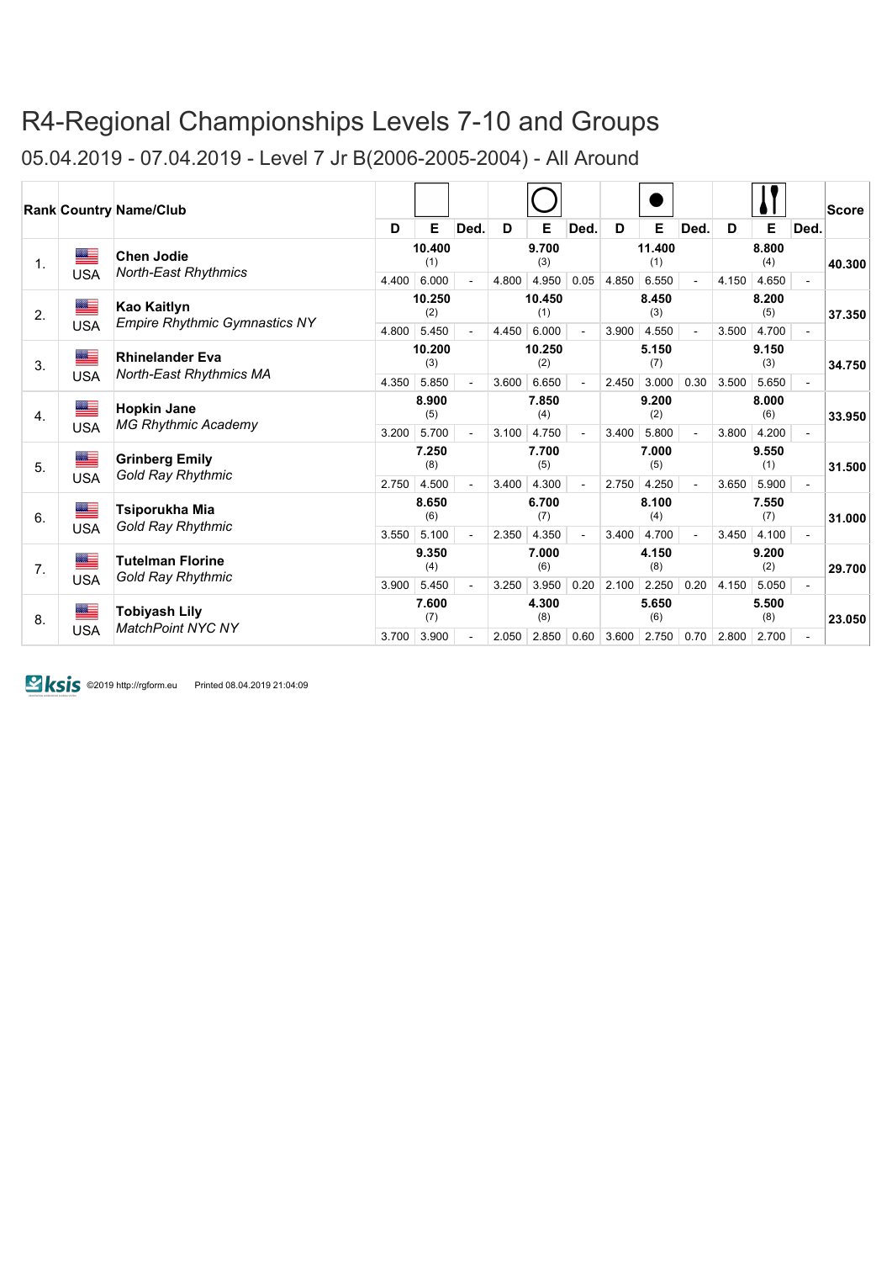05.04.2019 - 07.04.2019 - Level 7 Jr B(2006-2005-2004) - All Around

|    |            | <b>Rank Country Name/Club</b>                       |       |               |      |       |               |      |       |               |                          |       |              |          | Score  |
|----|------------|-----------------------------------------------------|-------|---------------|------|-------|---------------|------|-------|---------------|--------------------------|-------|--------------|----------|--------|
|    |            |                                                     | D     | E             | Ded. | D     | Е             | Ded. | D     | Е             | Ded.                     | D     | E            | Ded.     |        |
| 1. | ▀          | <b>Chen Jodie</b><br><b>North-East Rhythmics</b>    |       | 10.400<br>(1) |      |       | 9.700<br>(3)  |      |       | 11.400<br>(1) |                          |       | 8.800<br>(4) |          | 40.300 |
|    | <b>USA</b> |                                                     | 4.400 | 6.000         |      | 4.800 | 4.950         | 0.05 | 4.850 | 6.550         | $\overline{\phantom{a}}$ | 4.150 | 4.650        | $\omega$ |        |
| 2. | ≝          | Kao Kaitlyn<br><b>Empire Rhythmic Gymnastics NY</b> |       | 10.250<br>(2) |      |       | 10.450<br>(1) |      |       | 8.450<br>(3)  |                          |       | 8.200<br>(5) |          | 37.350 |
|    | <b>USA</b> |                                                     | 4.800 | 5.450         |      | 4.450 | 6.000         | ÷.   | 3.900 | 4.550         | $\overline{a}$           | 3.500 | 4.700        | $\sim$   |        |
| 3. | $\equiv$   | <b>Rhinelander Eva</b>                              |       | 10.200<br>(3) |      |       | 10.250<br>(2) |      |       | 5.150<br>(7)  |                          |       | 9.150<br>(3) |          | 34.750 |
|    | <b>USA</b> | <b>North-East Rhythmics MA</b>                      | 4.350 | 5.850         |      | 3.600 | 6.650         | ÷.   | 2.450 | 3.000         | 0.30                     | 3.500 | 5.650        | $\omega$ |        |
| 4. | $\equiv$   | <b>Hopkin Jane</b>                                  |       | 8.900<br>(5)  |      |       | 7.850<br>(4)  |      |       | 9.200<br>(2)  |                          |       | 8.000<br>(6) |          | 33.950 |
|    | <b>USA</b> | <b>MG Rhythmic Academy</b>                          | 3.200 | 5.700         |      | 3.100 | 4.750         |      | 3.400 | 5.800         | $\bar{a}$                | 3.800 | 4.200        | $\omega$ |        |
| 5. | =          | <b>Grinberg Emily</b>                               |       | 7.250<br>(8)  |      |       | 7.700<br>(5)  |      |       | 7.000<br>(5)  |                          |       | 9.550<br>(1) |          | 31.500 |
|    | <b>USA</b> | Gold Ray Rhythmic                                   | 2.750 | 4.500         |      | 3.400 | 4.300         |      | 2.750 | 4.250         |                          | 3.650 | 5.900        |          |        |
| 6. | ▀          | Tsiporukha Mia                                      |       | 8.650<br>(6)  |      |       | 6.700<br>(7)  |      |       | 8.100<br>(4)  |                          |       | 7.550<br>(7) |          | 31.000 |
|    | <b>USA</b> | Gold Ray Rhythmic                                   | 3.550 | 5.100         |      | 2.350 | 4.350         |      | 3.400 | 4.700         |                          | 3.450 | 4.100        |          |        |
| 7. | =          | <b>Tutelman Florine</b>                             |       | 9.350<br>(4)  |      |       | 7.000<br>(6)  |      |       | 4.150<br>(8)  |                          |       | 9.200<br>(2) |          | 29.700 |
|    | <b>USA</b> | Gold Ray Rhythmic                                   | 3.900 | 5.450         |      | 3.250 | 3.950         | 0.20 | 2.100 | 2.250         | 0.20                     | 4.150 | 5.050        |          |        |
| 8. | ≝          | <b>Tobiyash Lily</b><br>MatchPoint NYC NY           |       | 7.600<br>(7)  |      |       | 4.300<br>(8)  |      |       | 5.650<br>(6)  |                          |       | 5.500<br>(8) |          | 23.050 |
|    | <b>USA</b> |                                                     | 3.700 | 3.900         |      | 2.050 | 2.850         | 0.60 | 3.600 | 2.750         | 0.70                     | 2.800 | 2.700        | $\sim$   |        |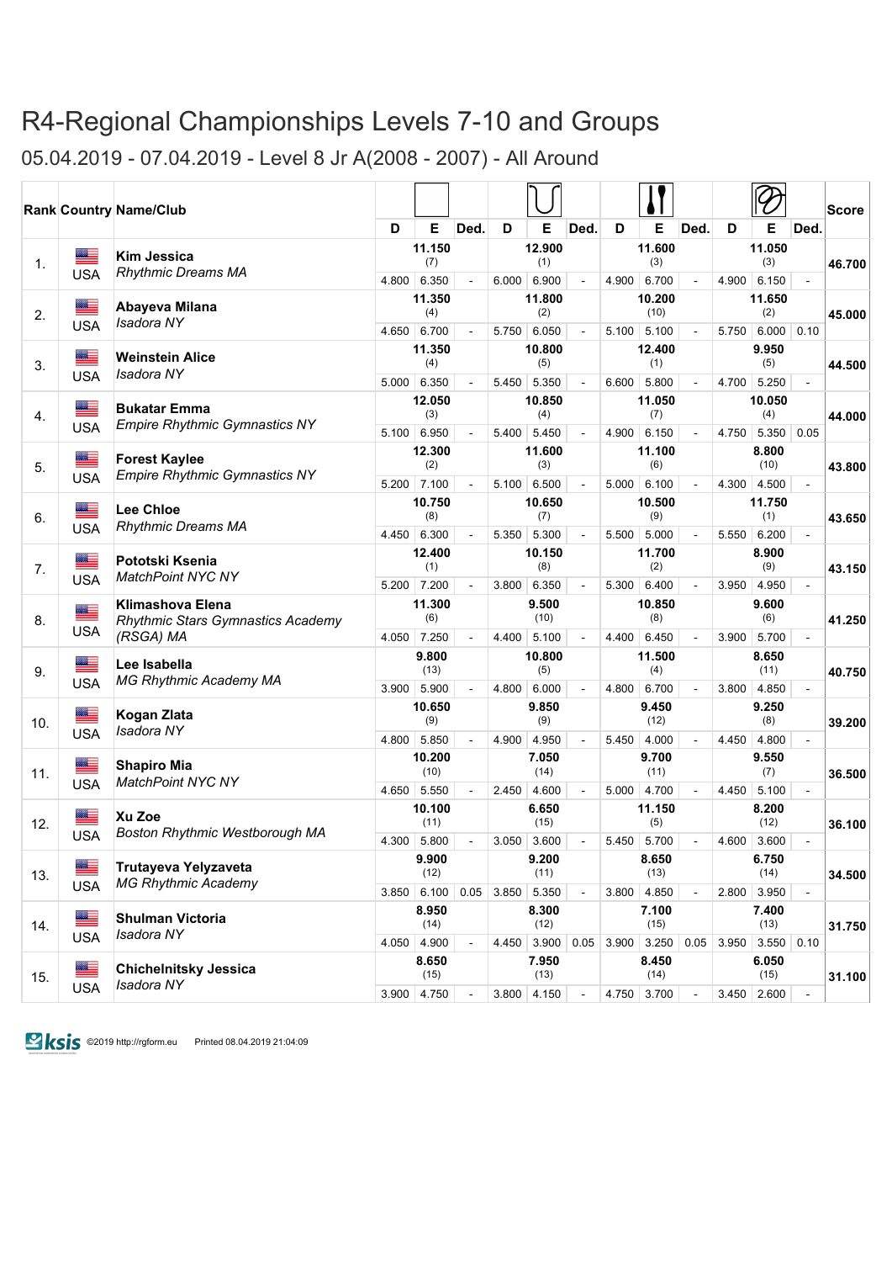05.04.2019 - 07.04.2019 - Level 8 Jr A(2008 - 2007) - All Around

| <b>Rank Country Name/Club</b><br>Е<br>Е<br>D<br>E<br>Ded.<br>D<br>Ded.<br>D<br>E<br>Ded.<br>D<br>Ded.<br>11.150<br>12.900<br>11.600<br>11.050<br>█≡<br><b>Kim Jessica</b><br>(7)<br>(1)<br>(3)<br>(3)<br>1.<br>Rhythmic Dreams MA<br><b>USA</b><br>6.150<br>4.800<br>6.350<br>6.000<br>6.900<br>4.900<br>6.700<br>4.900<br>$\sim$<br>$\sim$<br>$\bar{a}$<br>÷.<br>11.350<br>11.800<br>11.650<br>10.200<br>██<br>Abayeva Milana<br>(10)<br>(4)<br>(2)<br>(2)<br>2.<br>Isadora NY<br><b>USA</b><br>6.700<br>6.050<br>5.100<br>6.000<br>5.750<br>5.100<br>5.750<br>0.10<br>4.650<br>÷,<br>11.350<br>10.800<br>12.400<br>9.950<br>█▆<br><b>Weinstein Alice</b><br>(4)<br>(5)<br>(1)<br>(5)<br>3.<br>Isadora NY<br><b>USA</b><br>5.000 6.350<br>5.350<br>5.800<br>5.250<br>5.450<br>6.600<br>4.700<br>$\equiv$<br>÷,<br>12.050<br>10.850<br>11.050<br>10.050<br>█▆<br><b>Bukatar Emma</b><br>(3)<br>(4)<br>(7)<br>(4)<br>4.<br><b>Empire Rhythmic Gymnastics NY</b><br><b>USA</b><br>5.350<br>5.100 6.950<br>5.400<br>5.450<br>4.900<br>6.150<br>4.750<br>0.05<br>$\blacksquare$<br>11.600<br>12.300<br>11.100<br>8.800<br>█≡<br><b>Forest Kaylee</b><br>(2)<br>(3)<br>(6)<br>(10)<br>5.<br><b>Empire Rhythmic Gymnastics NY</b><br><b>USA</b><br>5.200 7.100<br>6.500<br>6.100<br>4.500<br>5.100<br>5.000<br>4.300<br>10.750<br>10.650<br>10.500<br>11.750<br>≝<br><b>Lee Chloe</b><br>(8)<br>(9)<br>(1)<br>(7)<br>6. | Score  |
|-------------------------------------------------------------------------------------------------------------------------------------------------------------------------------------------------------------------------------------------------------------------------------------------------------------------------------------------------------------------------------------------------------------------------------------------------------------------------------------------------------------------------------------------------------------------------------------------------------------------------------------------------------------------------------------------------------------------------------------------------------------------------------------------------------------------------------------------------------------------------------------------------------------------------------------------------------------------------------------------------------------------------------------------------------------------------------------------------------------------------------------------------------------------------------------------------------------------------------------------------------------------------------------------------------------------------------------------------------------------------------------------------------------------|--------|
|                                                                                                                                                                                                                                                                                                                                                                                                                                                                                                                                                                                                                                                                                                                                                                                                                                                                                                                                                                                                                                                                                                                                                                                                                                                                                                                                                                                                                   |        |
|                                                                                                                                                                                                                                                                                                                                                                                                                                                                                                                                                                                                                                                                                                                                                                                                                                                                                                                                                                                                                                                                                                                                                                                                                                                                                                                                                                                                                   | 46.700 |
|                                                                                                                                                                                                                                                                                                                                                                                                                                                                                                                                                                                                                                                                                                                                                                                                                                                                                                                                                                                                                                                                                                                                                                                                                                                                                                                                                                                                                   |        |
|                                                                                                                                                                                                                                                                                                                                                                                                                                                                                                                                                                                                                                                                                                                                                                                                                                                                                                                                                                                                                                                                                                                                                                                                                                                                                                                                                                                                                   | 45.000 |
|                                                                                                                                                                                                                                                                                                                                                                                                                                                                                                                                                                                                                                                                                                                                                                                                                                                                                                                                                                                                                                                                                                                                                                                                                                                                                                                                                                                                                   |        |
|                                                                                                                                                                                                                                                                                                                                                                                                                                                                                                                                                                                                                                                                                                                                                                                                                                                                                                                                                                                                                                                                                                                                                                                                                                                                                                                                                                                                                   | 44.500 |
|                                                                                                                                                                                                                                                                                                                                                                                                                                                                                                                                                                                                                                                                                                                                                                                                                                                                                                                                                                                                                                                                                                                                                                                                                                                                                                                                                                                                                   |        |
|                                                                                                                                                                                                                                                                                                                                                                                                                                                                                                                                                                                                                                                                                                                                                                                                                                                                                                                                                                                                                                                                                                                                                                                                                                                                                                                                                                                                                   | 44.000 |
|                                                                                                                                                                                                                                                                                                                                                                                                                                                                                                                                                                                                                                                                                                                                                                                                                                                                                                                                                                                                                                                                                                                                                                                                                                                                                                                                                                                                                   |        |
|                                                                                                                                                                                                                                                                                                                                                                                                                                                                                                                                                                                                                                                                                                                                                                                                                                                                                                                                                                                                                                                                                                                                                                                                                                                                                                                                                                                                                   | 43.800 |
|                                                                                                                                                                                                                                                                                                                                                                                                                                                                                                                                                                                                                                                                                                                                                                                                                                                                                                                                                                                                                                                                                                                                                                                                                                                                                                                                                                                                                   |        |
| <b>Rhythmic Dreams MA</b>                                                                                                                                                                                                                                                                                                                                                                                                                                                                                                                                                                                                                                                                                                                                                                                                                                                                                                                                                                                                                                                                                                                                                                                                                                                                                                                                                                                         | 43.650 |
| <b>USA</b><br>4.450 6.300<br>5.300<br>6.200<br>5.350<br>5.500<br>5.000<br>5.550<br>$\blacksquare$                                                                                                                                                                                                                                                                                                                                                                                                                                                                                                                                                                                                                                                                                                                                                                                                                                                                                                                                                                                                                                                                                                                                                                                                                                                                                                                 |        |
| 10.150<br>11.700<br>12.400<br>8.900<br>█<br>Pototski Ksenia<br>(9)<br>(1)<br>(8)<br>(2)<br>7.<br>MatchPoint NYC NY                                                                                                                                                                                                                                                                                                                                                                                                                                                                                                                                                                                                                                                                                                                                                                                                                                                                                                                                                                                                                                                                                                                                                                                                                                                                                                | 43.150 |
| <b>USA</b><br>5.200 7.200<br>6.350<br>5.300<br>6.400<br>3.950<br>4.950<br>3.800<br>$\omega$<br>$\overline{a}$<br>$\blacksquare$                                                                                                                                                                                                                                                                                                                                                                                                                                                                                                                                                                                                                                                                                                                                                                                                                                                                                                                                                                                                                                                                                                                                                                                                                                                                                   |        |
| <b>Klimashova Elena</b><br>11.300<br>9.500<br>10.850<br>9.600<br>█≡<br>(6)<br>(10)<br>(8)<br>(6)                                                                                                                                                                                                                                                                                                                                                                                                                                                                                                                                                                                                                                                                                                                                                                                                                                                                                                                                                                                                                                                                                                                                                                                                                                                                                                                  |        |
| 8.<br>Rhythmic Stars Gymnastics Academy<br><b>USA</b><br>(RSGA) MA<br>4.050 7.250<br>6.450<br>5.700<br>4.400<br>5.100<br>4.400<br>3.900<br>÷,<br>÷,                                                                                                                                                                                                                                                                                                                                                                                                                                                                                                                                                                                                                                                                                                                                                                                                                                                                                                                                                                                                                                                                                                                                                                                                                                                               | 41.250 |
| 11.500<br>9.800<br>10.800<br>8.650                                                                                                                                                                                                                                                                                                                                                                                                                                                                                                                                                                                                                                                                                                                                                                                                                                                                                                                                                                                                                                                                                                                                                                                                                                                                                                                                                                                |        |
| █▁<br>Lee Isabella<br>(13)<br>(5)<br>(4)<br>(11)<br>9.                                                                                                                                                                                                                                                                                                                                                                                                                                                                                                                                                                                                                                                                                                                                                                                                                                                                                                                                                                                                                                                                                                                                                                                                                                                                                                                                                            | 40.750 |
| MG Rhythmic Academy MA<br><b>USA</b><br>3.900 5.900<br>6.000<br>6.700<br>4.850<br>4.800<br>4.800<br>3.800<br>÷.<br>$\bar{a}$                                                                                                                                                                                                                                                                                                                                                                                                                                                                                                                                                                                                                                                                                                                                                                                                                                                                                                                                                                                                                                                                                                                                                                                                                                                                                      |        |
| 10.650<br>9.850<br>9.450<br>9.250<br><u> a </u><br>Kogan Zlata<br>(9)<br>(9)<br>(12)<br>(8)<br>10.                                                                                                                                                                                                                                                                                                                                                                                                                                                                                                                                                                                                                                                                                                                                                                                                                                                                                                                                                                                                                                                                                                                                                                                                                                                                                                                | 39.200 |
| Isadora NY<br><b>USA</b><br>4.950<br>4.000<br>4.800<br>5.850<br>4.900<br>5.450<br>4.450<br>4.800<br>$\omega$<br>$\sim$<br>$\omega$                                                                                                                                                                                                                                                                                                                                                                                                                                                                                                                                                                                                                                                                                                                                                                                                                                                                                                                                                                                                                                                                                                                                                                                                                                                                                |        |
| 10.200<br>7.050<br>9.700<br>9.550<br>██<br><b>Shapiro Mia</b><br>(10)<br>(14)<br>(11)<br>(7)<br>11.                                                                                                                                                                                                                                                                                                                                                                                                                                                                                                                                                                                                                                                                                                                                                                                                                                                                                                                                                                                                                                                                                                                                                                                                                                                                                                               | 36.500 |
| MatchPoint NYC NY<br><b>USA</b><br>5.550<br>4.600<br>4.700<br>4.650<br>2.450<br>5.000<br>4.450<br>5.100<br>÷,<br>$\blacksquare$                                                                                                                                                                                                                                                                                                                                                                                                                                                                                                                                                                                                                                                                                                                                                                                                                                                                                                                                                                                                                                                                                                                                                                                                                                                                                   |        |
| 10.100<br>6.650<br>11.150<br>8.200<br>██<br>Xu Zoe                                                                                                                                                                                                                                                                                                                                                                                                                                                                                                                                                                                                                                                                                                                                                                                                                                                                                                                                                                                                                                                                                                                                                                                                                                                                                                                                                                |        |
| (11)<br>(15)<br>(5)<br>(12)<br>12.<br><b>Boston Rhythmic Westborough MA</b><br><b>USA</b>                                                                                                                                                                                                                                                                                                                                                                                                                                                                                                                                                                                                                                                                                                                                                                                                                                                                                                                                                                                                                                                                                                                                                                                                                                                                                                                         | 36.100 |
| 5.700<br>5.800<br>3.600<br>3.600<br>4.300<br>3.050<br>5.450<br>4.600<br>÷.<br>$\overline{a}$                                                                                                                                                                                                                                                                                                                                                                                                                                                                                                                                                                                                                                                                                                                                                                                                                                                                                                                                                                                                                                                                                                                                                                                                                                                                                                                      |        |
| 9.900<br>9.200<br>8.650<br>6.750<br><u>a </u><br>Trutayeva Yelyzaveta<br>(12)<br>(11)<br>(13)<br>(14)<br>13.                                                                                                                                                                                                                                                                                                                                                                                                                                                                                                                                                                                                                                                                                                                                                                                                                                                                                                                                                                                                                                                                                                                                                                                                                                                                                                      | 34.500 |
| <b>MG Rhythmic Academy</b><br><b>USA</b><br>3.850<br>6.100<br>0.05<br>3.850<br>5.350<br>3.800<br>4.850<br>2.800<br>3.950<br>$\overline{\phantom{a}}$<br>$\blacksquare$<br>$\blacksquare$                                                                                                                                                                                                                                                                                                                                                                                                                                                                                                                                                                                                                                                                                                                                                                                                                                                                                                                                                                                                                                                                                                                                                                                                                          |        |
| 8.950<br>8.300<br>7.100<br>7.400<br>▓▆<br><b>Shulman Victoria</b>                                                                                                                                                                                                                                                                                                                                                                                                                                                                                                                                                                                                                                                                                                                                                                                                                                                                                                                                                                                                                                                                                                                                                                                                                                                                                                                                                 |        |
| (14)<br>(12)<br>(15)<br>(13)<br>14.<br>Isadora NY<br><b>USA</b>                                                                                                                                                                                                                                                                                                                                                                                                                                                                                                                                                                                                                                                                                                                                                                                                                                                                                                                                                                                                                                                                                                                                                                                                                                                                                                                                                   | 31.750 |
| 3.900<br>4.900<br>4.450<br>0.05<br>3.900<br>3.250<br>3.950<br>3.550<br>0.10<br>4.050<br>0.05                                                                                                                                                                                                                                                                                                                                                                                                                                                                                                                                                                                                                                                                                                                                                                                                                                                                                                                                                                                                                                                                                                                                                                                                                                                                                                                      |        |
| 8.650<br>7.950<br>8.450<br>6.050<br>█▁<br><b>Chichelnitsky Jessica</b><br>(15)<br>(13)<br>(14)<br>(15)<br>15.                                                                                                                                                                                                                                                                                                                                                                                                                                                                                                                                                                                                                                                                                                                                                                                                                                                                                                                                                                                                                                                                                                                                                                                                                                                                                                     | 31.100 |
| Isadora NY<br><b>USA</b><br>3.900 4.750<br> 4.150<br>3.700<br>3.450 2.600<br>3.800<br>4.750<br>$\bar{a}$<br>÷,<br>÷,                                                                                                                                                                                                                                                                                                                                                                                                                                                                                                                                                                                                                                                                                                                                                                                                                                                                                                                                                                                                                                                                                                                                                                                                                                                                                              |        |

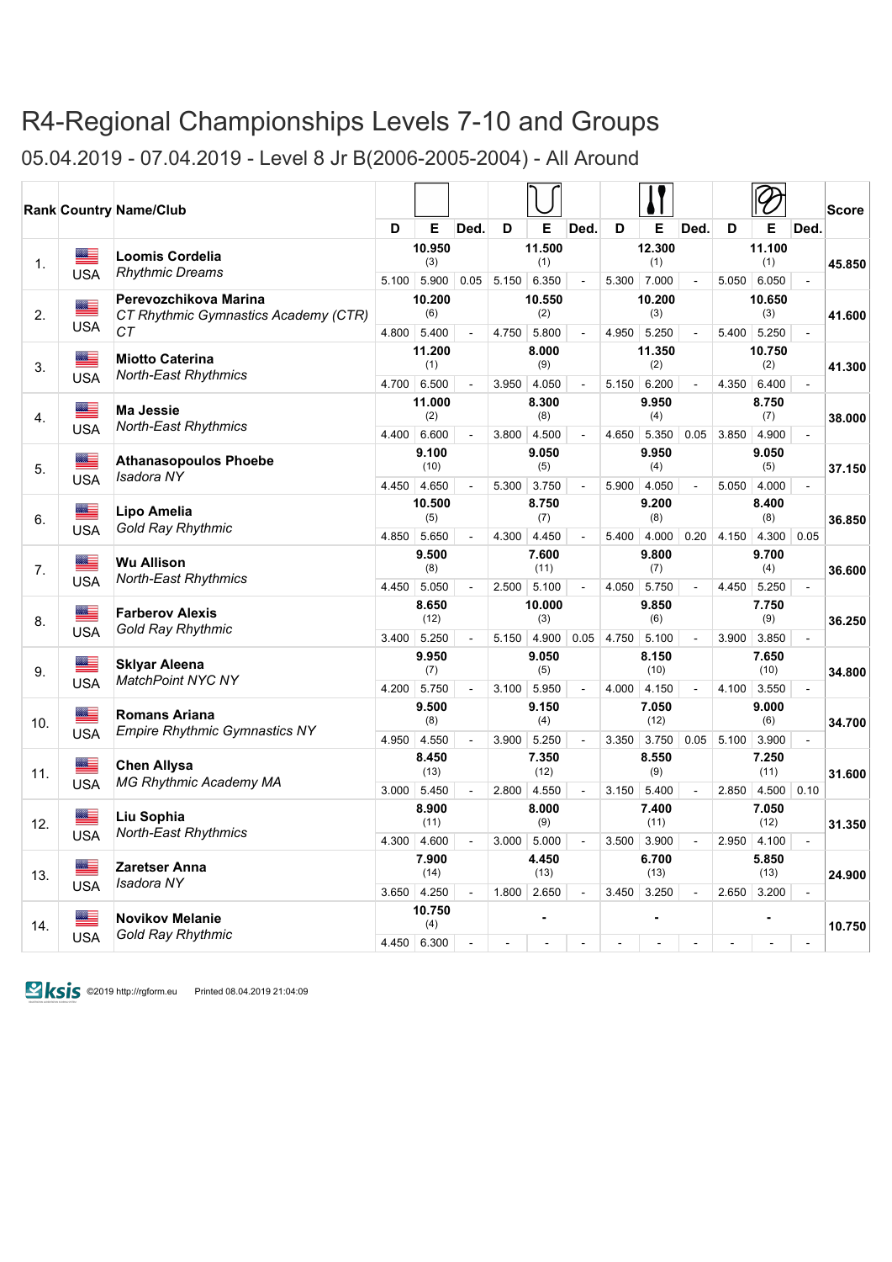05.04.2019 - 07.04.2019 - Level 8 Jr B(2006-2005-2004) - All Around

|     |                  | <b>Rank Country Name/Club</b>                                 |       |                        |                |       |                        |                          |       |                        |                          |       |                        |              | <b>Score</b> |
|-----|------------------|---------------------------------------------------------------|-------|------------------------|----------------|-------|------------------------|--------------------------|-------|------------------------|--------------------------|-------|------------------------|--------------|--------------|
|     |                  |                                                               | D     | E                      | Ded.           | D     | E                      | <b>Ded</b>               | D     | E                      | Ded.                     | D     | E                      | Ded.         |              |
| 1.  | ▆▆<br><b>USA</b> | <b>Loomis Cordelia</b><br><b>Rhythmic Dreams</b>              | 5.100 | 10.950<br>(3)<br>5.900 | 0.05           | 5.150 | 11.500<br>(1)<br>6.350 | $\sim$                   | 5.300 | 12.300<br>(1)<br>7.000 | $\blacksquare$           | 5.050 | 11.100<br>(1)<br>6.050 | $\omega$     | 45.850       |
| 2.  | ▆▆               | Perevozchikova Marina<br>CT Rhythmic Gymnastics Academy (CTR) |       | 10.200<br>(6)          |                |       | 10.550<br>(2)          |                          |       | 10.200<br>(3)          |                          |       | 10.650<br>(3)          |              | 41.600       |
|     | <b>USA</b>       | CТ                                                            | 4.800 | 5.400<br>11.200        | $\blacksquare$ | 4.750 | 5.800<br>8.000         | $\bar{\phantom{a}}$      | 4.950 | 5.250<br>11.350        | $\blacksquare$           | 5.400 | 5.250<br>10.750        | $\omega$     |              |
| 3.  | ▆▆<br><b>USA</b> | <b>Miotto Caterina</b><br>North-East Rhythmics                | 4.700 | (1)<br>6.500           | $\blacksquare$ | 3.950 | (9)<br>4.050           | ä,                       | 5.150 | (2)<br>6.200           | $\blacksquare$           | 4.350 | (2)<br>6.400           | $\omega$     | 41.300       |
| 4.  | Œ                | <b>Ma Jessie</b>                                              |       | 11.000<br>(2)          |                |       | 8.300<br>(8)           |                          |       | 9.950<br>(4)           |                          |       | 8.750<br>(7)           |              | 38.000       |
|     | <b>USA</b>       | <b>North-East Rhythmics</b>                                   | 4.400 | 6.600<br>9.100         | $\sim$         | 3.800 | 4.500<br>9.050         | $\sim$                   | 4.650 | 5.350<br>9.950         | 0.05                     | 3.850 | 4.900<br>9.050         | $\omega$     |              |
| 5.  | █<br><b>USA</b>  | <b>Athanasopoulos Phoebe</b><br>Isadora NY                    | 4.450 | (10)<br>4.650          | $\sim$         | 5.300 | (5)<br>3.750           | ä,                       | 5.900 | (4)<br>4.050           | $\Box$                   | 5.050 | (5)<br>4.000           | $\mathbf{r}$ | 37.150       |
| 6.  | Œ                | Lipo Amelia                                                   |       | 10.500<br>(5)          |                |       | 8.750<br>(7)           |                          |       | 9.200<br>(8)           |                          |       | 8.400<br>(8)           |              | 36.850       |
|     | <b>USA</b>       | Gold Ray Rhythmic                                             | 4.850 | 5.650<br>9.500         | $\sim$         | 4.300 | 4.450<br>7.600         | $\sim$                   | 5.400 | 4.000<br>9.800         | 0.20                     | 4.150 | 4.300<br>9.700         | 0.05         |              |
| 7.  | Æ<br><b>USA</b>  | <b>Wu Allison</b><br>North-East Rhythmics                     |       | (8)<br>4.450 5.050     | $\overline{a}$ | 2.500 | (11)<br>5.100          | $\overline{\phantom{a}}$ | 4.050 | (7)<br>5.750           | $\overline{\phantom{a}}$ |       | (4)<br>4.450 5.250     | $\omega$     | 36.600       |
| 8.  | █<br><b>USA</b>  | <b>Farberov Alexis</b><br>Gold Ray Rhythmic                   |       | 8.650<br>(12)          |                |       | 10.000<br>(3)          |                          |       | 9.850<br>(6)           |                          |       | 7.750<br>(9)           |              | 36.250       |
|     | ▆▆               | <b>Sklyar Aleena</b>                                          | 3.400 | 5.250<br>9.950         | $\sim$         | 5.150 | 4.900<br>9.050         | 0.05                     | 4.750 | 5.100<br>8.150         | L.                       | 3.900 | 3.850<br>7.650         | $\omega$     |              |
| 9.  | <b>USA</b>       | <b>MatchPoint NYC NY</b>                                      |       | (7)<br>4.200 5.750     | $\bar{a}$      | 3.100 | (5)<br>5.950           | $\bar{\phantom{a}}$      | 4.000 | (10)<br>4.150          | $\blacksquare$           | 4.100 | (10)<br>3.550          | $\omega$     | 34.800       |
| 10. | ▆▆<br><b>USA</b> | <b>Romans Ariana</b><br><b>Empire Rhythmic Gymnastics NY</b>  |       | 9.500<br>(8)           |                |       | 9.150<br>(4)           |                          |       | 7.050<br>(12)          |                          |       | 9.000<br>(6)           |              | 34.700       |
|     | █≡               | <b>Chen Allysa</b>                                            | 4.950 | 4.550<br>8.450<br>(13) | $\omega$       | 3.900 | 5.250<br>7.350<br>(12) | $\sim$                   | 3.350 | 3.750<br>8.550<br>(9)  | 0.05                     | 5.100 | 3.900<br>7.250<br>(11) | $\omega$     | 31.600       |
| 11. | <b>USA</b>       | <b>MG Rhythmic Academy MA</b>                                 |       | $3.000$ 5.450          | $\overline{a}$ | 2.800 | 4.550                  |                          | 3.150 | 5.400                  | $\overline{a}$           | 2.850 | 4.500                  | 0.10         |              |
| 12. | ▀<br><b>USA</b>  | Liu Sophia<br>North-East Rhythmics                            |       | 8.900<br>(11)          |                |       | 8.000<br>(9)           |                          |       | 7.400<br>(11)          |                          |       | 7.050<br>(12)          |              | 31.350       |
| 13. | ▓▆               | <b>Zaretser Anna</b>                                          | 4.300 | 4.600<br>7.900<br>(14) | $\blacksquare$ | 3.000 | 5.000<br>4.450<br>(13) | $\sim$                   | 3.500 | 3.900<br>6.700<br>(13) | $\omega$                 | 2.950 | 4.100<br>5.850<br>(13) | $\sim$       | 24.900       |
|     | <b>USA</b>       | Isadora NY                                                    |       | 3.650 4.250            | $\omega$       | 1.800 | 2.650                  | $\sim$                   | 3.450 | 3.250                  | $\sim$                   | 2.650 | 3.200                  | $\sim$       |              |
| 14. | æ                | <b>Novikov Melanie</b><br>Gold Ray Rhythmic                   |       | 10.750<br>(4)          |                |       | ÷                      |                          |       | $\ddot{\phantom{1}}$   |                          |       | ä,                     |              | 10.750       |
|     | <b>USA</b>       |                                                               |       | 4.450 6.300            |                |       | $\overline{a}$         | $\overline{a}$           |       | $\overline{a}$         | $\overline{a}$           |       | $\overline{a}$         | $\sim$       |              |

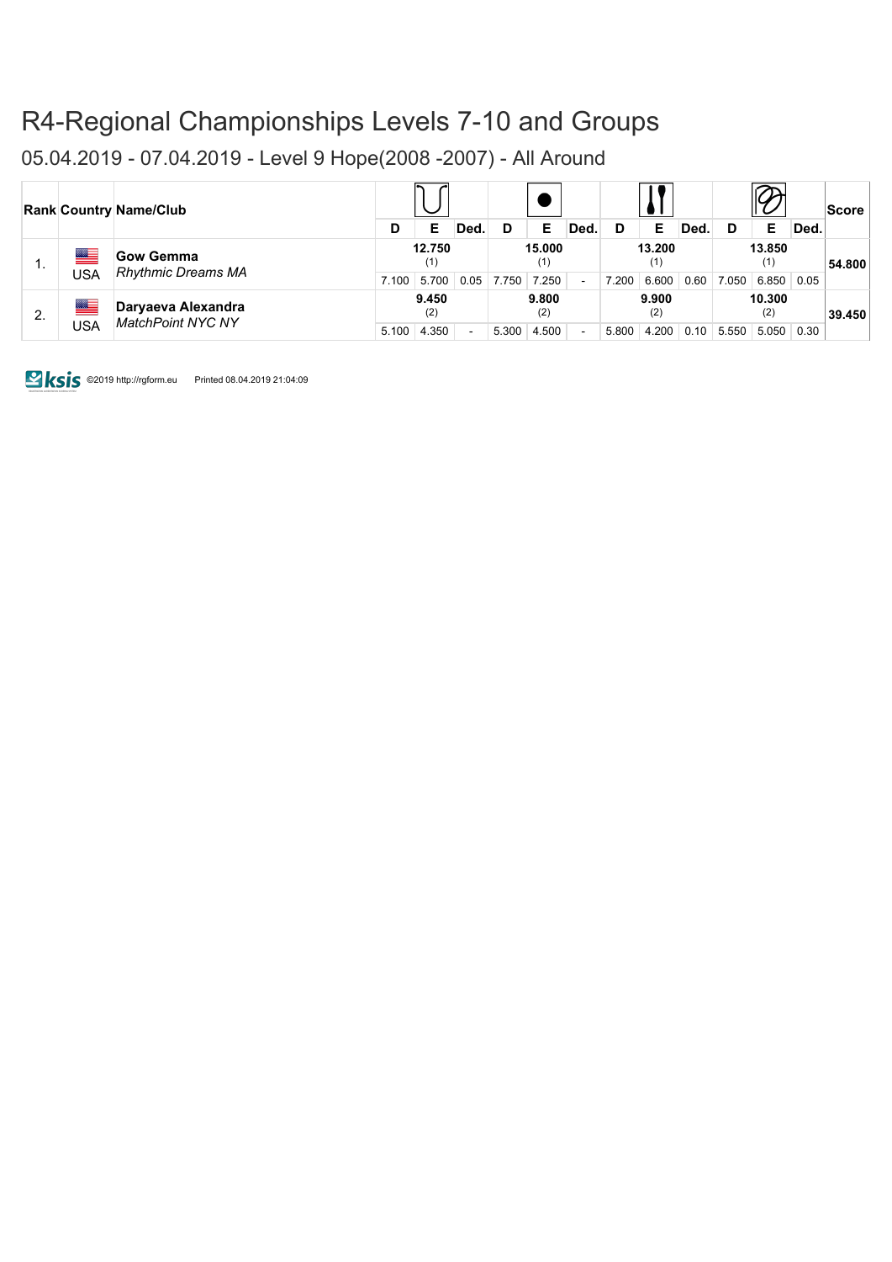05.04.2019 - 07.04.2019 - Level 9 Hope(2008 -2007) - All Around

|    |          | <b>Rank Country Name/Club</b>                 | D     | Е                      | Ded. |              | Е                      | Ded. | D     | Е                      | Ded. |       | Е                      | Ded. | ∣Score ∶ |
|----|----------|-----------------------------------------------|-------|------------------------|------|--------------|------------------------|------|-------|------------------------|------|-------|------------------------|------|----------|
| ι. | ▀<br>USA | <b>Gow Gemma</b><br><b>Rhythmic Dreams MA</b> | 7.100 | 12.750<br>(1)<br>5.700 |      | $0.05$ 7.750 | 15.000<br>(1)<br>7.250 |      | 7.200 | 13.200<br>(1)<br>6.600 | 0.60 | 7.050 | 13.850<br>(1)<br>6.850 | 0.05 | 54.800   |
| 2. | $\equiv$ | Daryaeva Alexandra<br>MatchPoint NYC NY       |       | 9.450<br>(2)           |      |              | 9.800<br>(2)           |      |       | 9.900<br>(2)           |      |       | 10.300<br>(2)          |      | 39.450   |
|    | USA      |                                               | 5.100 | 4.350                  |      | 5.300        | 4.500                  |      | 5.800 | 4.200                  | 0.10 | 5.550 | 5.050                  | 0.30 |          |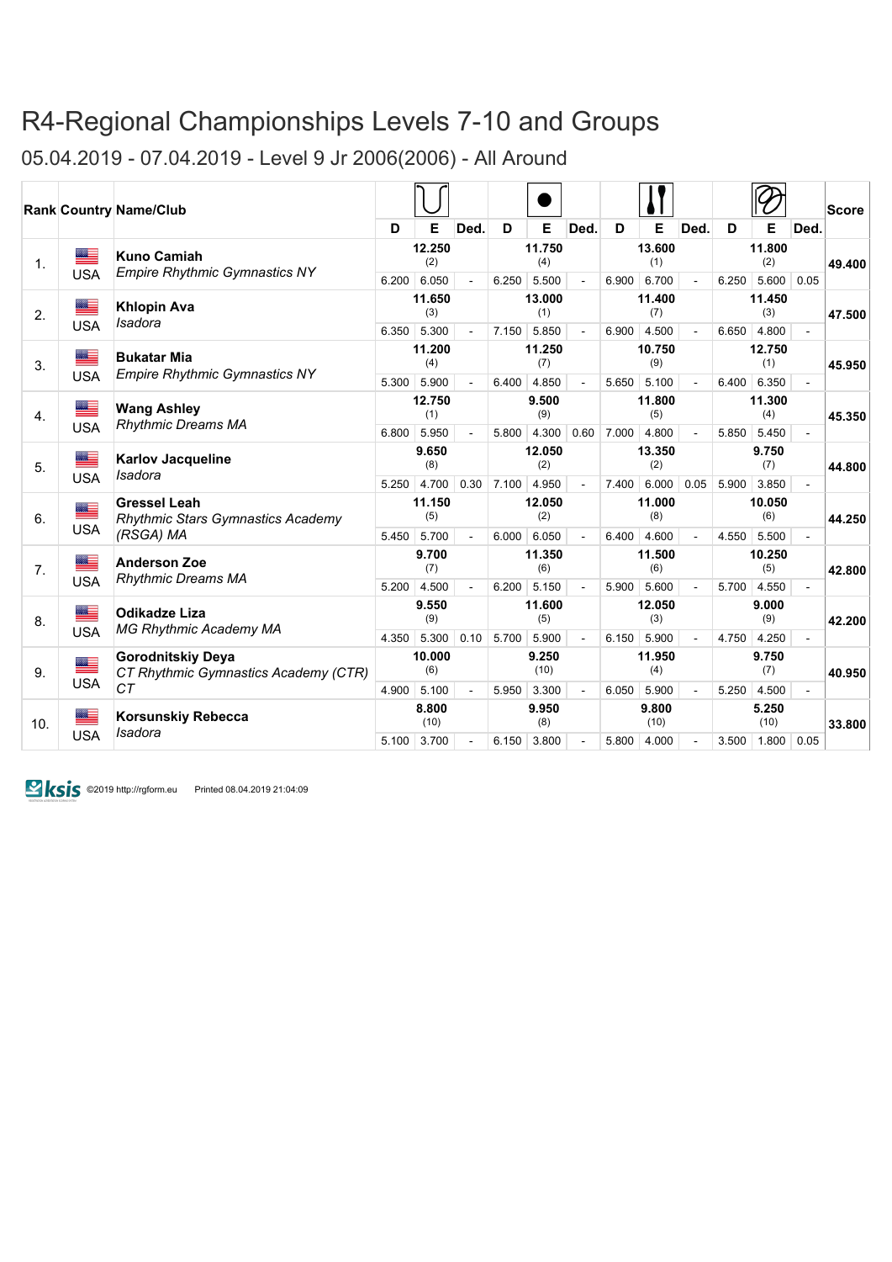05.04.2019 - 07.04.2019 - Level 9 Jr 2006(2006) - All Around

|     |                  | <b>Rank Country Name/Club</b>                                    |       |               |                |       |               |                |       |               |                |       |               |      | Score  |
|-----|------------------|------------------------------------------------------------------|-------|---------------|----------------|-------|---------------|----------------|-------|---------------|----------------|-------|---------------|------|--------|
|     |                  |                                                                  | D     | E             | Ded.           | D     | Е             | <b>Ded</b>     | D     | E             | Ded.           | D     | E             | Ded. |        |
| 1.  | ▆▆               | <b>Kuno Camiah</b>                                               |       | 12.250<br>(2) |                |       | 11.750<br>(4) |                |       | 13.600<br>(1) |                |       | 11.800<br>(2) |      | 49.400 |
|     | <b>USA</b>       | <b>Empire Rhythmic Gymnastics NY</b>                             | 6.200 | 6.050         |                | 6.250 | 5.500         |                | 6.900 | 6.700         |                | 6.250 | 5.600         | 0.05 |        |
| 2.  | ▆▆               | <b>Khlopin Ava</b><br><i><b>Isadora</b></i>                      |       | 11.650<br>(3) |                |       | 13.000<br>(1) |                |       | 11.400<br>(7) |                |       | 11.450<br>(3) |      | 47.500 |
|     | <b>USA</b>       |                                                                  | 6.350 | 5.300         |                | 7.150 | 5.850         |                | 6.900 | 4.500         | $\overline{a}$ | 6.650 | 4.800         |      |        |
| 3.  | ▇≡               | <b>Bukatar Mia</b><br><b>Empire Rhythmic Gymnastics NY</b>       |       | 11.200<br>(4) |                |       | 11.250<br>(7) |                |       | 10.750<br>(9) |                |       | 12.750<br>(1) |      | 45.950 |
|     | <b>USA</b>       |                                                                  | 5.300 | 5.900         |                | 6.400 | 4.850         |                | 5.650 | 5.100         |                | 6.400 | 6.350         |      |        |
| 4.  | ▇≡               | <b>Wang Ashley</b><br><b>Rhythmic Dreams MA</b>                  |       | 12.750<br>(1) |                |       | 9.500<br>(9)  |                |       | 11.800<br>(5) |                |       | 11.300<br>(4) |      | 45.350 |
|     | <b>USA</b>       |                                                                  | 6.800 | 5.950         |                | 5.800 | 4.300         | 0.60           | 7.000 | 4.800         |                | 5.850 | 5.450         |      |        |
| 5.  | ≝<br><b>USA</b>  | <b>Karlov Jacqueline</b><br>Isadora                              |       | 9.650<br>(8)  |                |       | 12.050<br>(2) |                |       | 13.350<br>(2) |                |       | 9.750<br>(7)  |      | 44.800 |
|     |                  |                                                                  | 5.250 | 4.700         | 0.30           | 7.100 | 4.950         |                | 7.400 | 6.000         | 0.05           | 5.900 | 3.850         |      |        |
| 6.  | ▆▆               | <b>Gressel Leah</b><br><b>Rhythmic Stars Gymnastics Academy</b>  |       | 11.150<br>(5) |                |       | 12.050<br>(2) |                |       | 11.000<br>(8) |                |       | 10.050<br>(6) |      | 44.250 |
|     | <b>USA</b>       | (RSGA) MA                                                        | 5.450 | 5.700         |                | 6.000 | 6.050         |                | 6.400 | 4.600         | L.             | 4.550 | 5.500         |      |        |
| 7.  | <u>a </u>        | <b>Anderson Zoe</b><br><b>Rhythmic Dreams MA</b>                 |       | 9.700<br>(7)  |                |       | 11.350<br>(6) |                |       | 11.500<br>(6) |                |       | 10.250<br>(5) |      | 42.800 |
|     | <b>USA</b>       |                                                                  | 5.200 | 4.500         |                | 6.200 | 5.150         |                | 5.900 | 5.600         | $\overline{a}$ | 5.700 | 4.550         |      |        |
| 8.  | █≡               | <b>Odikadze Liza</b>                                             |       | 9.550<br>(9)  |                |       | 11.600<br>(5) |                |       | 12.050<br>(3) |                |       | 9.000<br>(9)  |      | 42.200 |
|     | <b>USA</b>       | <b>MG Rhythmic Academy MA</b>                                    | 4.350 | 5.300         | 0.10           | 5.700 | 5.900         |                | 6.150 | 5.900         | $\overline{a}$ | 4.750 | 4.250         |      |        |
| 9.  | ▆▆<br><b>USA</b> | <b>Gorodnitskiy Deya</b><br>CT Rhythmic Gymnastics Academy (CTR) |       | 10.000<br>(6) |                |       | 9.250<br>(10) |                |       | 11.950<br>(4) |                |       | 9.750<br>(7)  |      | 40.950 |
|     |                  | CT                                                               | 4.900 | 5.100         |                | 5.950 | 3.300         | $\sim$         | 6.050 | 5.900         | $\overline{a}$ | 5.250 | 4.500         |      |        |
| 10. | <u>a a</u>       | <b>Korsunskiy Rebecca</b><br><b>Isadora</b>                      |       | 8.800<br>(10) |                |       | 9.950<br>(8)  |                |       | 9.800<br>(10) |                |       | 5.250<br>(10) |      | 33.800 |
|     | <b>USA</b>       |                                                                  | 5.100 | 3.700         | $\blacksquare$ | 6.150 | 3.800         | $\blacksquare$ | 5.800 | 4.000         | $\blacksquare$ | 3.500 | 1.800         | 0.05 |        |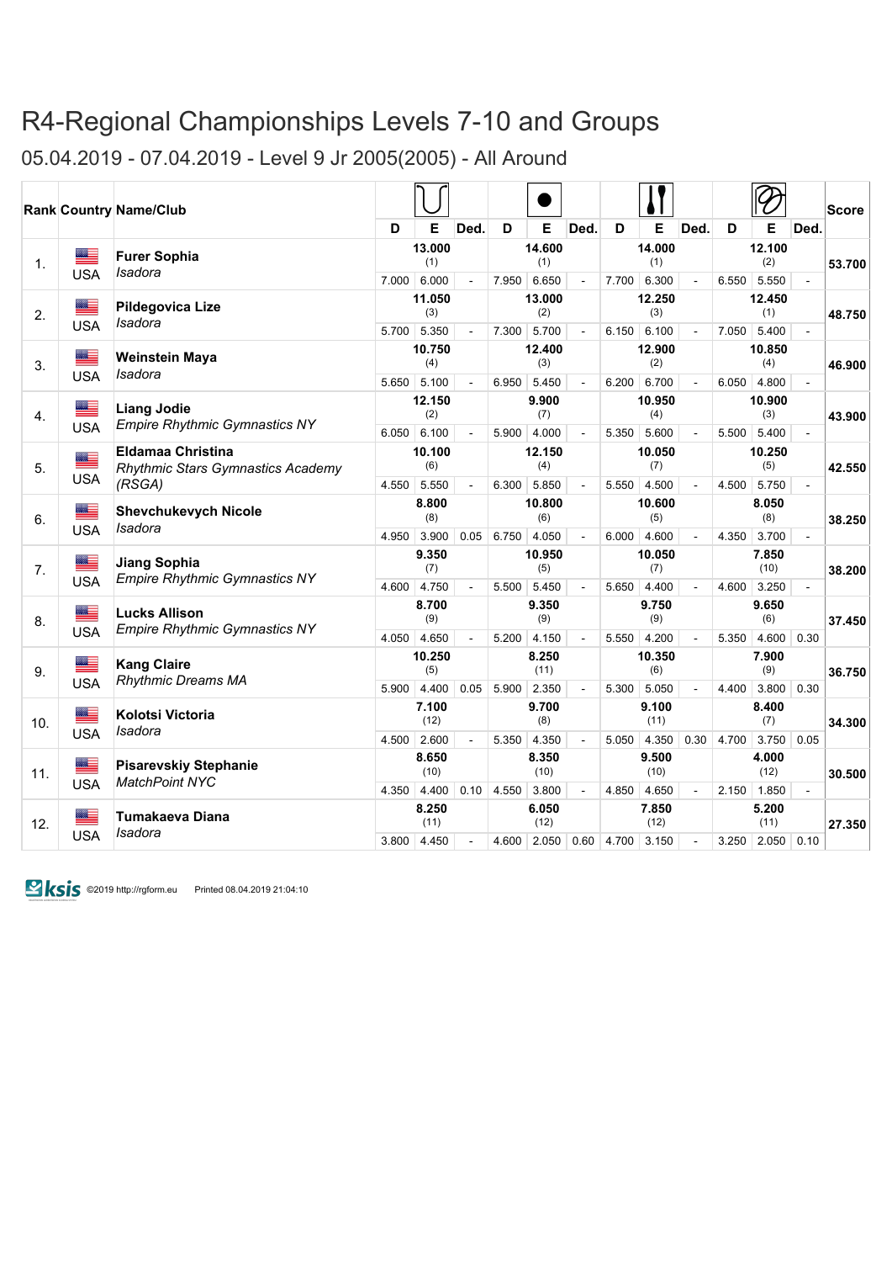05.04.2019 - 07.04.2019 - Level 9 Jr 2005(2005) - All Around

|     |                  | <b>Rank Country Name/Club</b>                                 |       |               |                          |       |               |                |       |               |                |       |               |                | Score  |
|-----|------------------|---------------------------------------------------------------|-------|---------------|--------------------------|-------|---------------|----------------|-------|---------------|----------------|-------|---------------|----------------|--------|
|     |                  |                                                               | D     | E             | Ded.                     | D     | Е             | <b>Ded</b>     | D     | E             | Ded.           | D     | E             | Ded.           |        |
| 1.  | █▀<br><b>USA</b> | <b>Furer Sophia</b><br>Isadora                                |       | 13.000<br>(1) |                          |       | 14.600<br>(1) |                |       | 14.000<br>(1) |                |       | 12.100<br>(2) |                | 53.700 |
|     |                  |                                                               | 7.000 | 6.000         | $\overline{a}$           | 7.950 | 6.650         | $\overline{a}$ | 7.700 | 6.300         | $\overline{a}$ | 6.550 | 5.550         | $\sim$         |        |
| 2.  | ▀<br><b>USA</b>  | <b>Pildegovica Lize</b><br>Isadora                            |       | 11.050<br>(3) |                          |       | 13.000<br>(2) |                |       | 12.250<br>(3) |                |       | 12.450<br>(1) |                | 48.750 |
|     |                  |                                                               | 5.700 | 5.350         | $\sim$                   | 7.300 | 5.700         | $\sim$         | 6.150 | 6.100         | $\sim$         | 7.050 | 5.400         |                |        |
| 3.  | ≝                | <b>Weinstein Maya</b>                                         |       | 10.750<br>(4) |                          |       | 12.400<br>(3) |                |       | 12.900<br>(2) |                |       | 10.850<br>(4) |                | 46.900 |
|     | <b>USA</b>       | Isadora                                                       | 5.650 | 5.100         |                          | 6.950 | 5.450         |                | 6.200 | 6.700         | ÷,             | 6.050 | 4.800         |                |        |
| 4.  | ≝                | <b>Liang Jodie</b>                                            |       | 12.150<br>(2) |                          |       | 9.900<br>(7)  |                |       | 10.950<br>(4) |                |       | 10.900<br>(3) |                | 43.900 |
|     | <b>USA</b>       | Empire Rhythmic Gymnastics NY                                 |       | 6.050   6.100 |                          | 5.900 | 4.000         | $\overline{a}$ | 5.350 | 5.600         | $\overline{a}$ | 5.500 | 5.400         | $\mathbf{r}$   |        |
| 5.  | █≡               | <b>Eldamaa Christina</b><br>Rhythmic Stars Gymnastics Academy |       | 10.100<br>(6) |                          |       | 12.150<br>(4) |                |       | 10.050<br>(7) |                |       | 10.250<br>(5) |                | 42.550 |
|     | <b>USA</b>       | (RSGA)                                                        | 4.550 | 5.550         |                          | 6.300 | 5.850         |                | 5.550 | 4.500         |                | 4.500 | 5.750         |                |        |
| 6.  | ▓≡               | <b>Shevchukevych Nicole</b>                                   |       | 8.800<br>(8)  |                          |       | 10.800<br>(6) |                |       | 10.600<br>(5) |                |       | 8.050<br>(8)  |                | 38.250 |
|     | <b>USA</b>       | <b>Isadora</b>                                                | 4.950 | 3.900         | 0.05                     | 6.750 | 4.050         |                | 6.000 | 4.600         |                | 4.350 | 3.700         |                |        |
| 7.  | █                | <b>Jiang Sophia</b>                                           |       | 9.350<br>(7)  |                          |       | 10.950<br>(5) |                |       | 10.050<br>(7) |                |       | 7.850<br>(10) |                | 38.200 |
|     | <b>USA</b>       | <b>Empire Rhythmic Gymnastics NY</b>                          | 4.600 | 4.750         | $\overline{\phantom{a}}$ | 5.500 | 5.450         | $\overline{a}$ | 5.650 | 4.400         | L.             | 4.600 | 3.250         | $\blacksquare$ |        |
| 8.  | ≝                | <b>Lucks Allison</b>                                          |       | 8.700<br>(9)  |                          |       | 9.350<br>(9)  |                |       | 9.750<br>(9)  |                |       | 9.650<br>(6)  |                | 37.450 |
|     | <b>USA</b>       | <b>Empire Rhythmic Gymnastics NY</b>                          | 4.050 | 4.650         |                          | 5.200 | 4.150         |                | 5.550 | 4.200         |                | 5.350 | 4.600         | 0.30           |        |
| 9.  | ▆▆               | <b>Kang Claire</b><br><b>Rhythmic Dreams MA</b>               |       | 10.250<br>(5) |                          |       | 8.250<br>(11) |                |       | 10.350<br>(6) |                |       | 7.900<br>(9)  |                | 36.750 |
|     | <b>USA</b>       |                                                               | 5.900 | 4.400         | 0.05                     | 5.900 | 2.350         | $\sim$         | 5.300 | 5.050         | L.             | 4.400 | 3.800         | 0.30           |        |
| 10. | Æ                | Kolotsi Victoria                                              |       | 7.100<br>(12) |                          |       | 9.700<br>(8)  |                |       | 9.100<br>(11) |                |       | 8.400<br>(7)  |                | 34.300 |
|     | <b>USA</b>       | Isadora                                                       | 4.500 | 2.600         | $\omega$                 | 5.350 | 4.350         | $\sim$         | 5.050 | 4.350         | 0.30           | 4.700 | 3.750         | 0.05           |        |
| 11. | ≝                | <b>Pisarevskiy Stephanie</b>                                  |       | 8.650<br>(10) |                          |       | 8.350<br>(10) |                |       | 9.500<br>(10) |                |       | 4.000<br>(12) |                | 30.500 |
|     | <b>USA</b>       | <b>MatchPoint NYC</b>                                         | 4.350 | 4.400         | 0.10                     | 4.550 | 3.800         | $\sim$         | 4.850 | 4.650         | $\blacksquare$ | 2.150 | 1.850         |                |        |
| 12. | <u>a B</u>       | <b>Tumakaeva Diana</b>                                        |       | 8.250<br>(11) |                          |       | 6.050<br>(12) |                |       | 7.850<br>(12) |                |       | 5.200<br>(11) |                | 27.350 |
|     | <b>USA</b>       | Isadora                                                       |       | $3.800$ 4.450 |                          | 4.600 | 2.050         | 0.60           | 4.700 | 3.150         | ÷,             | 3.250 | 2.050         | 0.10           |        |

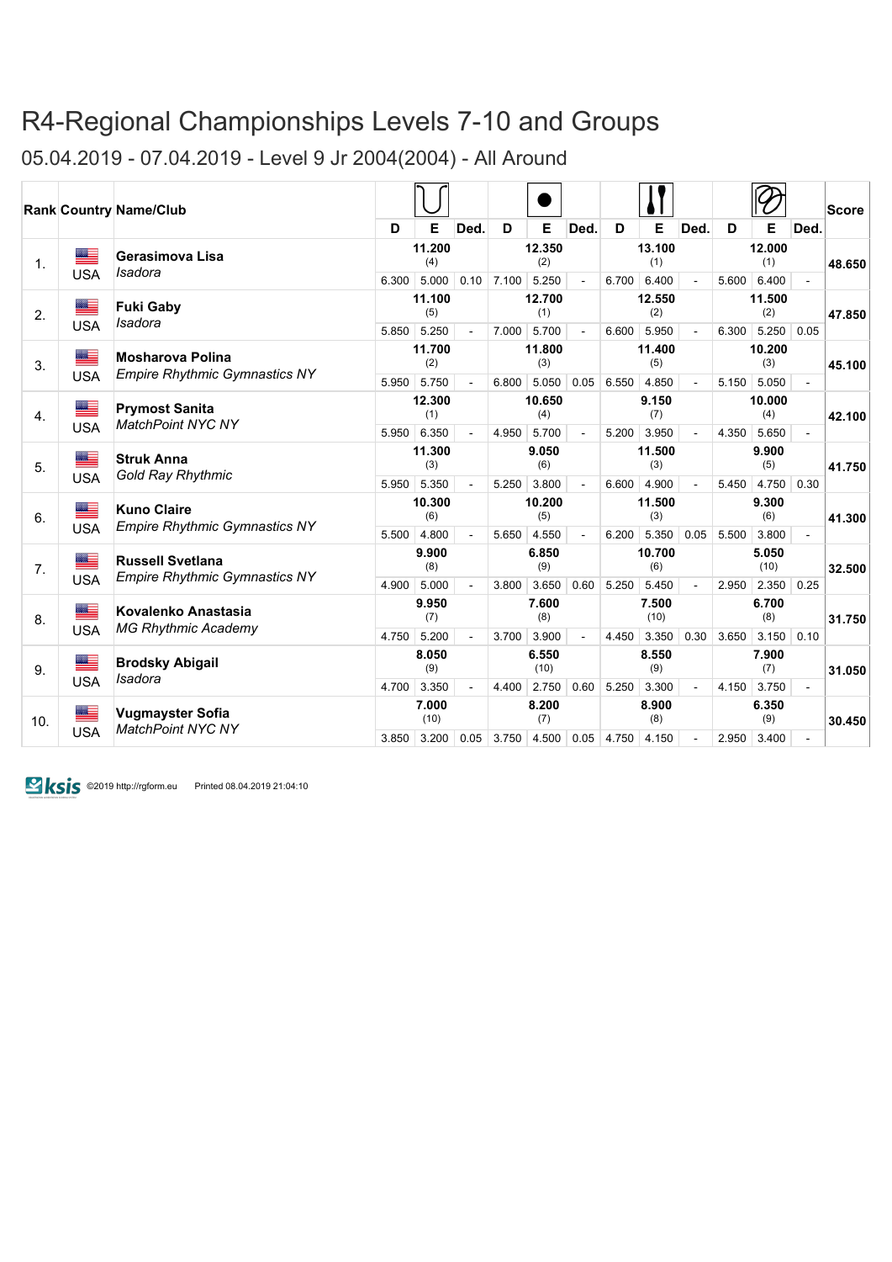05.04.2019 - 07.04.2019 - Level 9 Jr 2004(2004) - All Around

|     |                         | <b>Rank Country Name/Club</b>                                   |       |               |      |       |               |            |       |               |                |       |               |        | Score  |
|-----|-------------------------|-----------------------------------------------------------------|-------|---------------|------|-------|---------------|------------|-------|---------------|----------------|-------|---------------|--------|--------|
|     |                         |                                                                 | D     | Е             | Ded. | D     | Е             | <b>Ded</b> | D     | E             | Ded.           | D     | E             | Ded.   |        |
| 1.  | ≝                       | Gerasimova Lisa<br><b>Isadora</b>                               |       | 11.200<br>(4) |      |       | 12.350<br>(2) |            |       | 13.100<br>(1) |                |       | 12.000<br>(1) |        | 48.650 |
|     | <b>USA</b>              |                                                                 | 6.300 | 5.000         | 0.10 | 7.100 | 5.250         |            | 6.700 | 6.400         |                | 5.600 | 6.400         |        |        |
| 2.  | ≝                       | <b>Fuki Gaby</b><br><b>Isadora</b>                              |       | 11.100<br>(5) |      |       | 12.700<br>(1) |            |       | 12.550<br>(2) |                |       | 11.500<br>(2) |        | 47.850 |
|     | <b>USA</b>              |                                                                 | 5.850 | 5.250         |      | 7.000 | 5.700         |            | 6.600 | 5.950         |                | 6.300 | 5.250         | 0.05   |        |
| 3.  | ▆▆                      | <b>Mosharova Polina</b><br><b>Empire Rhythmic Gymnastics NY</b> |       | 11.700<br>(2) |      |       | 11.800<br>(3) |            |       | 11.400<br>(5) |                |       | 10.200<br>(3) |        | 45.100 |
|     | <b>USA</b>              |                                                                 | 5.950 | 5.750         |      | 6.800 | 5.050         | 0.05       | 6.550 | 4.850         | ÷,             | 5.150 | 5.050         |        |        |
| 4.  | <u>an B</u>             | <b>Prymost Sanita</b><br><b>MatchPoint NYC NY</b>               |       | 12.300<br>(1) |      |       | 10.650<br>(4) |            |       | 9.150<br>(7)  |                |       | 10.000<br>(4) |        | 42.100 |
|     | <b>USA</b>              |                                                                 | 5.950 | 6.350         |      | 4.950 | 5.700         |            | 5.200 | 3.950         |                | 4.350 | 5.650         | $\sim$ |        |
| 5.  | ▇≡                      | <b>Struk Anna</b><br><b>Gold Ray Rhythmic</b>                   |       | 11.300<br>(3) |      |       | 9.050<br>(6)  |            |       | 11.500<br>(3) |                |       | 9.900<br>(5)  |        | 41.750 |
|     | <b>USA</b>              |                                                                 | 5.950 | 5.350         |      | 5.250 | 3.800         |            | 6.600 | 4.900         |                | 5.450 | 4.750         | 0.30   |        |
| 6.  | █▆                      | <b>Kuno Claire</b><br><b>Empire Rhythmic Gymnastics NY</b>      |       | 10.300<br>(6) |      |       | 10.200<br>(5) |            |       | 11.500<br>(3) |                |       | 9.300<br>(6)  |        | 41.300 |
|     | <b>USA</b>              |                                                                 | 5.500 | 4.800         |      | 5.650 | 4.550         |            | 6.200 | 5.350         | 0.05           | 5.500 | 3.800         |        |        |
| 7.  | <u>e </u>               | <b>Russell Svetlana</b>                                         |       | 9.900<br>(8)  |      |       | 6.850<br>(9)  |            |       | 10.700<br>(6) |                |       | 5.050<br>(10) |        | 32.500 |
|     | <b>USA</b>              | Empire Rhythmic Gymnastics NY                                   | 4.900 | 5.000         |      | 3.800 | 3.650         | 0.60       | 5.250 | 5.450         | ÷.             | 2.950 | 2.350         | 0.25   |        |
| 8.  | ▆▆                      | Kovalenko Anastasia                                             |       | 9.950<br>(7)  |      |       | 7.600<br>(8)  |            |       | 7.500<br>(10) |                |       | 6.700<br>(8)  |        | 31.750 |
|     | <b>USA</b>              | <b>MG Rhythmic Academy</b>                                      | 4.750 | 5.200         |      | 3.700 | 3.900         |            | 4.450 | 3.350         | 0.30           | 3.650 | 3.150         | 0.10   |        |
| 9.  | ▇≡                      | <b>Brodsky Abigail</b><br>Isadora                               |       | 8.050<br>(9)  |      |       | 6.550<br>(10) |            |       | 8.550<br>(9)  |                |       | 7.900<br>(7)  |        | 31.050 |
|     | <b>USA</b>              |                                                                 | 4.700 | 3.350         |      | 4.400 | 2.750         | 0.60       | 5.250 | 3.300         |                | 4.150 | 3.750         |        |        |
| 10. | <u>e </u><br><b>USA</b> | <b>Vugmayster Sofia</b><br>MatchPoint NYC NY                    |       | 7.000<br>(10) |      |       | 8.200<br>(7)  |            |       | 8.900<br>(8)  |                |       | 6.350<br>(9)  |        | 30.450 |
|     |                         |                                                                 | 3.850 | 3.200         | 0.05 | 3.750 | 4.500         | 0.05       | 4.750 | 4.150         | $\overline{a}$ | 2.950 | 3.400         | $\sim$ |        |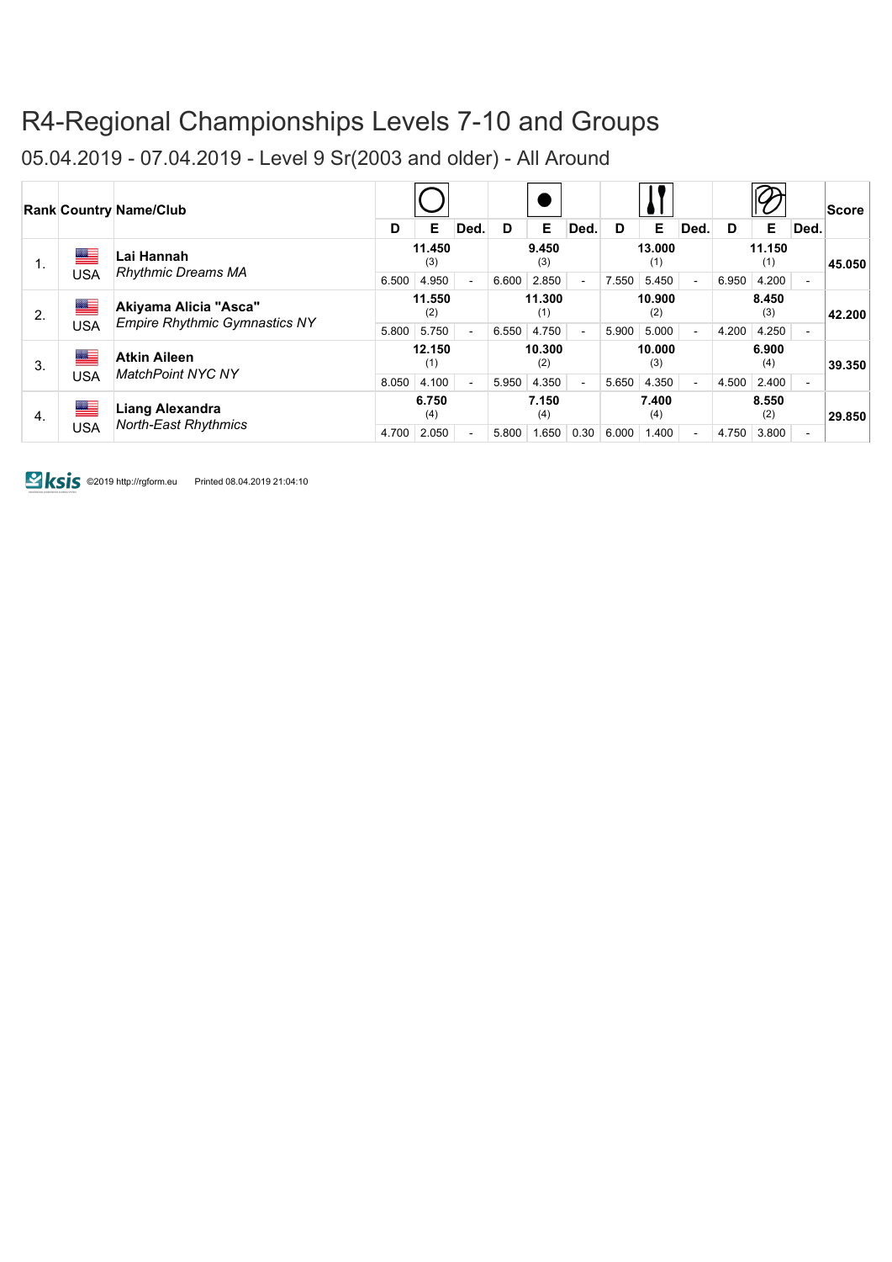05.04.2019 - 07.04.2019 - Level 9 Sr(2003 and older) - All Around

|    |     | <b>Rank Country Name/Club</b>        | D     | Е             | Ded. | D     | Е             | Ded. | D     | Е             | Ded.                     | D     | Е             | Ded. | <b>Score</b> |
|----|-----|--------------------------------------|-------|---------------|------|-------|---------------|------|-------|---------------|--------------------------|-------|---------------|------|--------------|
| 1. | █▇  | Lai Hannah                           |       | 11.450<br>(3) |      |       | 9.450<br>(3)  |      |       | 13.000<br>(1) |                          |       | 11.150<br>(1) |      | 45.050       |
|    | USA | <b>Rhythmic Dreams MA</b>            | 6.500 | 4.950         |      | 6.600 | 2.850         |      | 7.550 | 5.450         | $\overline{a}$           | 6.950 | 4.200         | ٠    |              |
| 2. | ▆▆  | Akiyama Alicia "Asca"                |       | 11.550<br>(2) |      |       | 11.300<br>(1) |      |       | 10.900<br>(2) |                          |       | 8.450<br>(3)  |      | 42.200       |
|    | USA | <b>Empire Rhythmic Gymnastics NY</b> | 5.800 | 5.750         |      | 6.550 | 4.750         |      | 5.900 | 5.000         |                          | 4.200 | 4.250         | ٠    |              |
| 3. | ▆▆  | <b>Atkin Aileen</b>                  |       | 12.150<br>(1) |      |       | 10.300<br>(2) |      |       | 10.000<br>(3) |                          |       | 6.900<br>(4)  |      | 39.350       |
|    | USA | MatchPoint NYC NY                    | 8.050 | 4.100         |      | 5.950 | 4.350         |      | 5.650 | 4.350         | $\overline{\phantom{a}}$ | 4.500 | 2.400         | ٠    |              |
| 4. | █≡  | <b>Liang Alexandra</b>               |       | 6.750<br>(4)  |      |       | 7.150<br>(4)  |      |       | 7.400<br>(4)  |                          |       | 8.550<br>(2)  |      | 29.850       |
|    | USA | <b>North-East Rhythmics</b>          | 4.700 | 2.050         |      | 5.800 | 1.650         | 0.30 | 6.000 | 1.400         |                          | 4.750 | 3.800         | ٠    |              |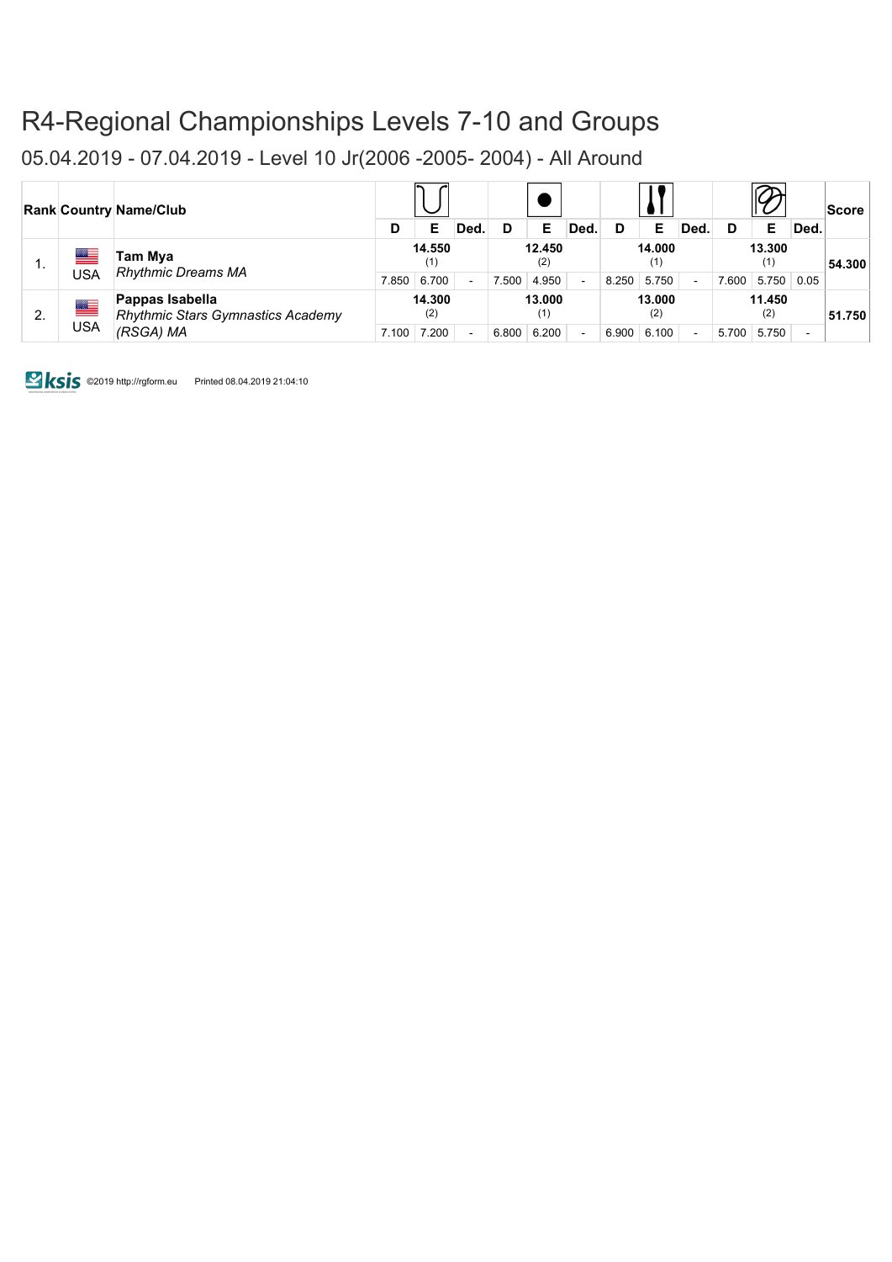05.04.2019 - 07.04.2019 - Level 10 Jr(2006 -2005- 2004) - All Around

|    |           | <b>Rank Country Name/Club</b>                                     | D     | Е                      | Ded. | D     | Е                      | Ded. | D     | Е                      | Ded.                     |       | Е                      | Ded.                     | <b>Score</b> |
|----|-----------|-------------------------------------------------------------------|-------|------------------------|------|-------|------------------------|------|-------|------------------------|--------------------------|-------|------------------------|--------------------------|--------------|
|    | ≝<br>USA  | Tam Mya<br><b>Rhythmic Dreams MA</b>                              | 7.850 | 14.550<br>(1)<br>6.700 |      | 7.500 | 12.450<br>(2)<br>4.950 |      | 8.250 | 14.000<br>(1)<br>5.750 | $\sim$                   | 7.600 | 13.300<br>(1)<br>5.750 | 0.05                     | 54.300       |
| 2. | ██<br>USA | Pappas Isabella<br>Rhythmic Stars Gymnastics Academy<br>(RSGA) MA | 7.100 | 14.300<br>(2)<br>7.200 |      | 6.800 | 13.000<br>(1)<br>6.200 |      | 6.900 | 13.000<br>(2)<br>6.100 | $\overline{\phantom{a}}$ | 5.700 | 11.450<br>(2)<br>5.750 | $\overline{\phantom{0}}$ | 51.750       |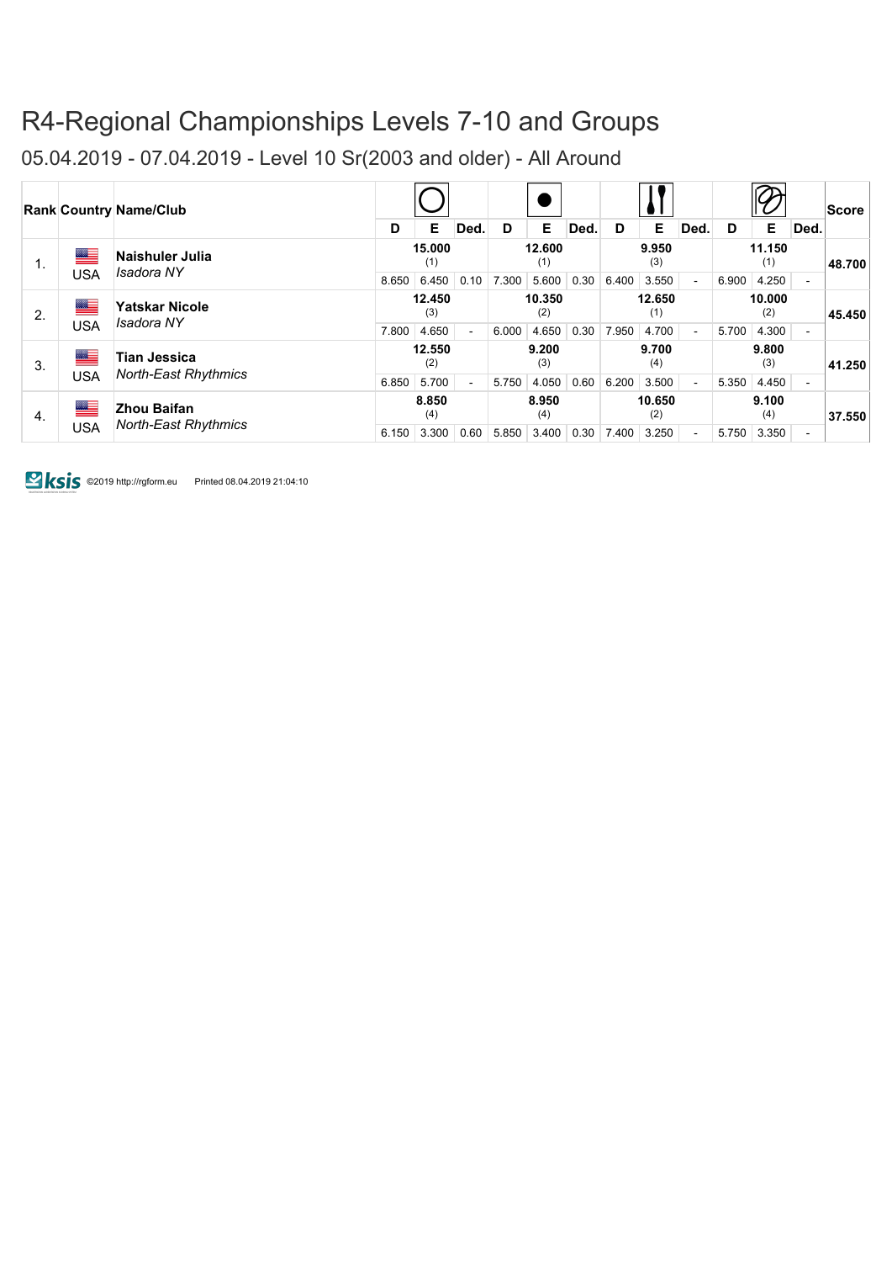05.04.2019 - 07.04.2019 - Level 10 Sr(2003 and older) - All Around

|                      |           | <b>Rank Country Name/Club</b>                     | D     | Е             | Ded. | D             | Е             | Ded.          | D     | Е             | Ded.                     | D      | Е             | Ded.                     | <b>Score</b> |  |
|----------------------|-----------|---------------------------------------------------|-------|---------------|------|---------------|---------------|---------------|-------|---------------|--------------------------|--------|---------------|--------------------------|--------------|--|
| ▆▆<br>1 <sub>1</sub> |           | Naishuler Julia                                   |       | 15.000<br>(1) |      |               | 12.600<br>(1) |               |       | 9.950<br>(3)  |                          |        | 11.150<br>(1) |                          | 48.700       |  |
|                      | USA       | Isadora NY                                        | 8.650 | 6.450         | 0.10 | 7.300         | 5.600         | 0.30          | 6.400 | 3.550         | $\overline{a}$           | 6.900  | 4.250         | $\overline{\phantom{a}}$ |              |  |
| 2.                   | ▆▆<br>USA | <b>Yatskar Nicole</b><br>Isadora NY               |       | 12.450<br>(3) |      | 10.350<br>(2) |               | 12.650<br>(1) |       | 10.000<br>(2) |                          | 45.450 |               |                          |              |  |
|                      |           |                                                   | 7.800 | 4.650         |      | 6.000         | 4.650         | 0.30          | 7.950 | 4.700         |                          | 5.700  | 4.300         | ٠                        |              |  |
| 3.                   | ▆▆        | <b>Tian Jessica</b>                               |       | 12.550<br>(2) |      |               | 9.200<br>(3)  |               |       | 9.700<br>(4)  |                          |        | 9.800<br>(3)  |                          | 41.250       |  |
|                      | USA       | <b>North-East Rhythmics</b>                       | 6.850 | 5.700         |      | 5.750         | 4.050         | 0.60          | 6.200 | 3.500         | $\overline{a}$           | 5.350  | 4.450         | $\overline{a}$           |              |  |
| 4.                   | ▆▆<br>USA | <b>Zhou Baifan</b><br><b>North-East Rhythmics</b> |       | 8.850<br>(4)  |      |               | 8.950<br>(4)  |               |       | 10.650<br>(2) |                          |        | 9.100<br>(4)  | 37.550                   |              |  |
|                      |           |                                                   | 6.150 | 3.300         | 0.60 | 5.850         | 3.400         | 0.30          | 7.400 | 3.250         | $\overline{\phantom{a}}$ | 5.750  | 3.350         | ۰                        |              |  |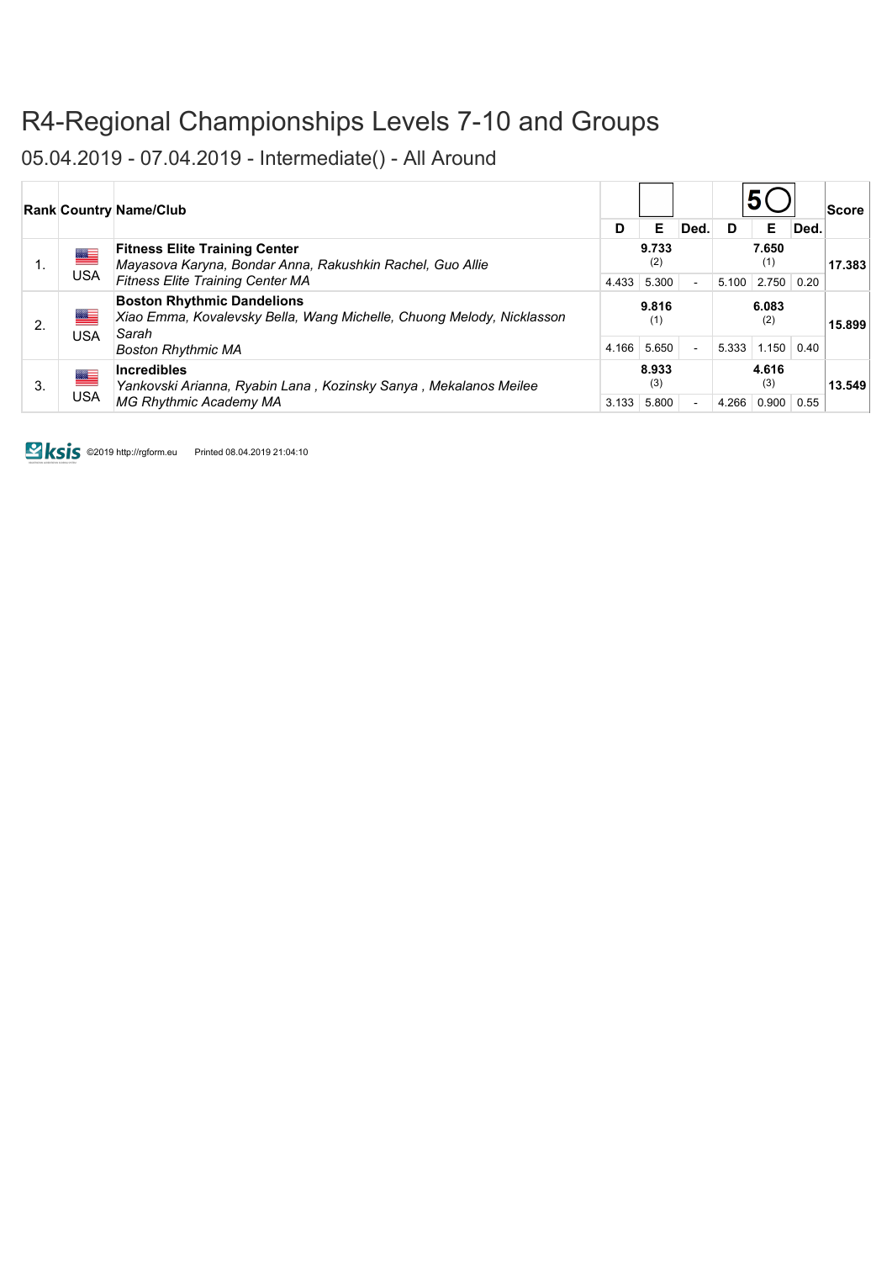05.04.2019 - 07.04.2019 - Intermediate() - All Around

|    |                           | <b>Rank Country Name/Club</b>                                                                                                                    | D     | Е                     | Ded.           | D     | Е                            | Ded. | Score  |
|----|---------------------------|--------------------------------------------------------------------------------------------------------------------------------------------------|-------|-----------------------|----------------|-------|------------------------------|------|--------|
| 1. | <u>as</u><br><b>USA</b>   | <b>Fitness Elite Training Center</b><br>Mayasova Karyna, Bondar Anna, Rakushkin Rachel, Guo Allie<br><b>Fitness Elite Training Center MA</b>     | 4.433 | 9.733<br>(2)<br>5.300 | $\sim$         | 5.100 | 7.650<br>(1)<br>2.750        | 0.20 | 17.383 |
| 2. | █≡<br><b>USA</b>          | <b>Boston Rhythmic Dandelions</b><br>Xiao Emma, Kovalevsky Bella, Wang Michelle, Chuong Melody, Nicklasson<br>Sarah<br><b>Boston Rhythmic MA</b> | 4.166 | 9.816<br>(1)<br>5.650 | $\sim$         | 5.333 | 6.083<br>(2)<br>1.150        | 0.40 | 15.899 |
| 3. | <u>an a</u><br><b>USA</b> | Incredibles<br>Yankovski Arianna, Ryabin Lana, Kozinsky Sanya, Mekalanos Meilee<br><b>MG Rhythmic Academy MA</b>                                 | 3.133 | 8.933<br>(3)<br>5.800 | $\overline{a}$ | 4.266 | 4.616<br>(3)<br>0.900   0.55 |      | 13.549 |